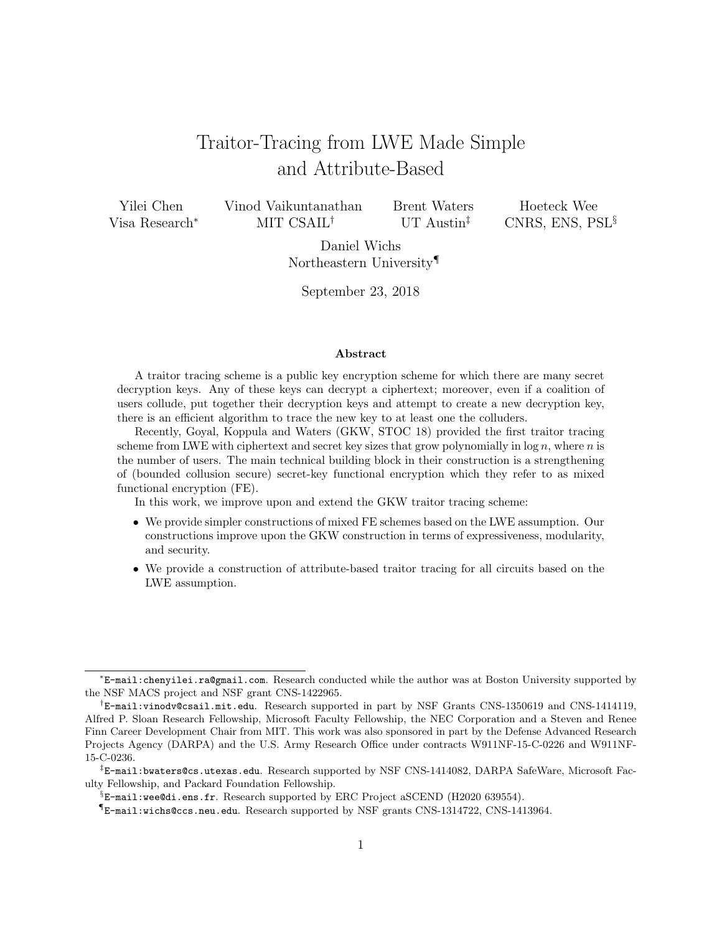# Traitor-Tracing from LWE Made Simple and Attribute-Based

Yilei Chen Visa Research<sup>∗</sup> Vinod Vaikuntanathan MIT CSAIL†

Brent Waters UT Austin‡

Hoeteck Wee CNRS, ENS, PSL§

Daniel Wichs Northeastern University¶

September 23, 2018

#### Abstract

A traitor tracing scheme is a public key encryption scheme for which there are many secret decryption keys. Any of these keys can decrypt a ciphertext; moreover, even if a coalition of users collude, put together their decryption keys and attempt to create a new decryption key, there is an efficient algorithm to trace the new key to at least one the colluders.

Recently, Goyal, Koppula and Waters (GKW, STOC 18) provided the first traitor tracing scheme from LWE with ciphertext and secret key sizes that grow polynomially in  $\log n$ , where n is the number of users. The main technical building block in their construction is a strengthening of (bounded collusion secure) secret-key functional encryption which they refer to as mixed functional encryption (FE).

In this work, we improve upon and extend the GKW traitor tracing scheme:

- We provide simpler constructions of mixed FE schemes based on the LWE assumption. Our constructions improve upon the GKW construction in terms of expressiveness, modularity, and security.
- We provide a construction of attribute-based traitor tracing for all circuits based on the LWE assumption.

<sup>∗</sup> E-mail:chenyilei.ra@gmail.com. Research conducted while the author was at Boston University supported by the NSF MACS project and NSF grant CNS-1422965.

<sup>†</sup> E-mail:vinodv@csail.mit.edu. Research supported in part by NSF Grants CNS-1350619 and CNS-1414119, Alfred P. Sloan Research Fellowship, Microsoft Faculty Fellowship, the NEC Corporation and a Steven and Renee Finn Career Development Chair from MIT. This work was also sponsored in part by the Defense Advanced Research Projects Agency (DARPA) and the U.S. Army Research Office under contracts W911NF-15-C-0226 and W911NF-15-C-0236.

<sup>‡</sup> E-mail:bwaters@cs.utexas.edu. Research supported by NSF CNS-1414082, DARPA SafeWare, Microsoft Faculty Fellowship, and Packard Foundation Fellowship.

 $\S$ E-mail:wee@di.ens.fr. Research supported by ERC Project aSCEND (H2020 639554).

<sup>¶</sup> E-mail:wichs@ccs.neu.edu. Research supported by NSF grants CNS-1314722, CNS-1413964.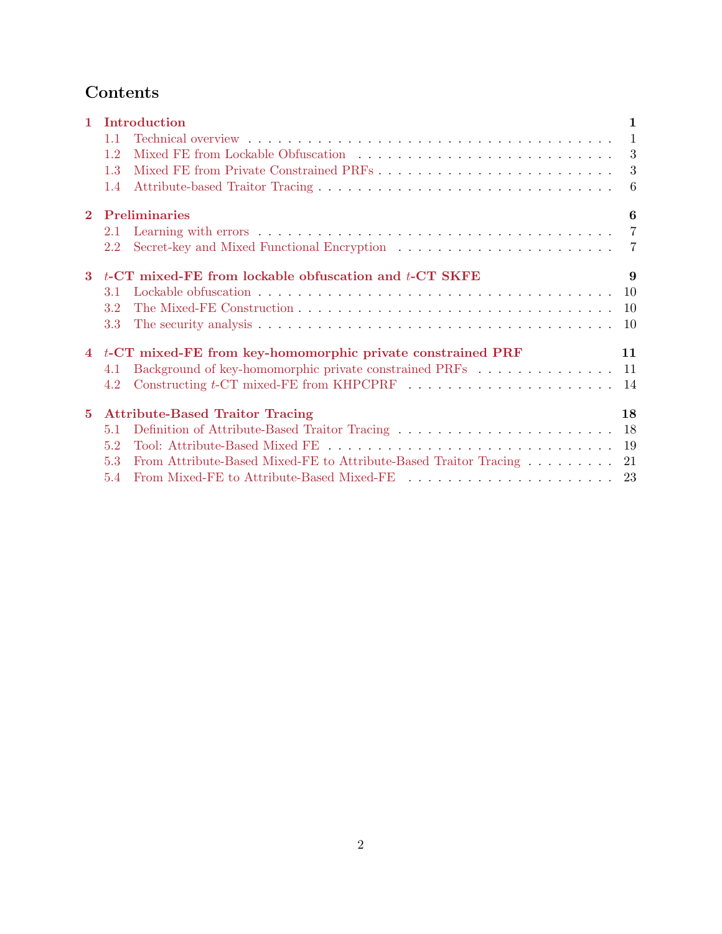# Contents

| $\mathbf{1}$ | Introduction                                                               | $\mathbf{1}$ |
|--------------|----------------------------------------------------------------------------|--------------|
|              | 1.1                                                                        | $\mathbf{1}$ |
|              | 1.2                                                                        | 3            |
|              | 1.3                                                                        | 3            |
|              | 1.4                                                                        | 6            |
| $\mathbf{2}$ | <b>Preliminaries</b>                                                       | 6            |
|              | 2.1                                                                        |              |
|              | 2.2                                                                        |              |
| $\mathbf{3}$ | $t$ -CT mixed-FE from lockable obfuscation and $t$ -CT SKFE                | 9            |
|              | 3.1                                                                        | 10           |
|              | 3.2                                                                        |              |
|              | 3.3                                                                        | -10          |
|              | 4 t-CT mixed-FE from key-homomorphic private constrained PRF               | 11           |
|              | Background of key-homomorphic private constrained PRFs 11<br>4.1           |              |
|              | 4.2                                                                        | -14          |
| $5^{\circ}$  | <b>Attribute-Based Traitor Tracing</b>                                     | 18           |
|              | 5.1                                                                        |              |
|              | 5.2                                                                        |              |
|              | From Attribute-Based Mixed-FE to Attribute-Based Traitor Tracing 21<br>5.3 |              |
|              | $5.4^{\circ}$                                                              |              |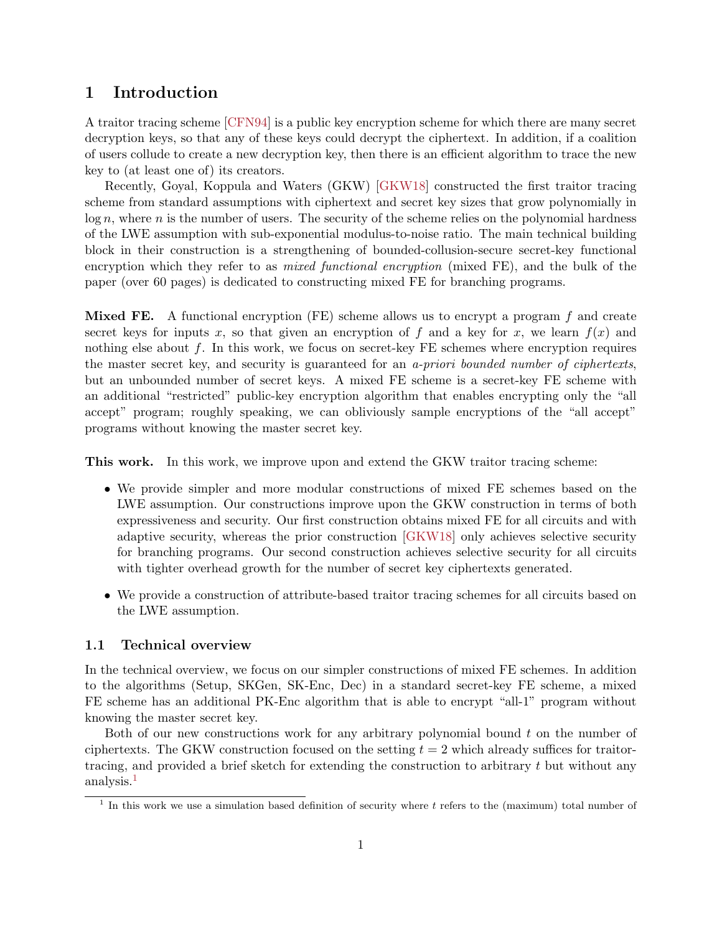# <span id="page-2-0"></span>1 Introduction

A traitor tracing scheme [\[CFN94\]](#page-26-0) is a public key encryption scheme for which there are many secret decryption keys, so that any of these keys could decrypt the ciphertext. In addition, if a coalition of users collude to create a new decryption key, then there is an efficient algorithm to trace the new key to (at least one of) its creators.

Recently, Goyal, Koppula and Waters (GKW) [\[GKW18\]](#page-27-0) constructed the first traitor tracing scheme from standard assumptions with ciphertext and secret key sizes that grow polynomially in  $log n$ , where n is the number of users. The security of the scheme relies on the polynomial hardness of the LWE assumption with sub-exponential modulus-to-noise ratio. The main technical building block in their construction is a strengthening of bounded-collusion-secure secret-key functional encryption which they refer to as *mixed functional encryption* (mixed FE), and the bulk of the paper (over 60 pages) is dedicated to constructing mixed FE for branching programs.

**Mixed FE.** A functional encryption  $(FE)$  scheme allows us to encrypt a program f and create secret keys for inputs x, so that given an encryption of f and a key for x, we learn  $f(x)$  and nothing else about  $f$ . In this work, we focus on secret-key  $FE$  schemes where encryption requires the master secret key, and security is guaranteed for an a-priori bounded number of ciphertexts, but an unbounded number of secret keys. A mixed FE scheme is a secret-key FE scheme with an additional "restricted" public-key encryption algorithm that enables encrypting only the "all accept" program; roughly speaking, we can obliviously sample encryptions of the "all accept" programs without knowing the master secret key.

This work. In this work, we improve upon and extend the GKW traitor tracing scheme:

- We provide simpler and more modular constructions of mixed FE schemes based on the LWE assumption. Our constructions improve upon the GKW construction in terms of both expressiveness and security. Our first construction obtains mixed FE for all circuits and with adaptive security, whereas the prior construction [\[GKW18\]](#page-27-0) only achieves selective security for branching programs. Our second construction achieves selective security for all circuits with tighter overhead growth for the number of secret key ciphertexts generated.
- We provide a construction of attribute-based traitor tracing schemes for all circuits based on the LWE assumption.

# <span id="page-2-1"></span>1.1 Technical overview

In the technical overview, we focus on our simpler constructions of mixed FE schemes. In addition to the algorithms (Setup, SKGen, SK-Enc, Dec) in a standard secret-key FE scheme, a mixed FE scheme has an additional PK-Enc algorithm that is able to encrypt "all-1" program without knowing the master secret key.

Both of our new constructions work for any arbitrary polynomial bound t on the number of ciphertexts. The GKW construction focused on the setting  $t = 2$  which already suffices for traitortracing, and provided a brief sketch for extending the construction to arbitrary t but without any analysis.[1](#page-2-2)

<span id="page-2-2"></span><sup>&</sup>lt;sup>1</sup> In this work we use a simulation based definition of security where t refers to the (maximum) total number of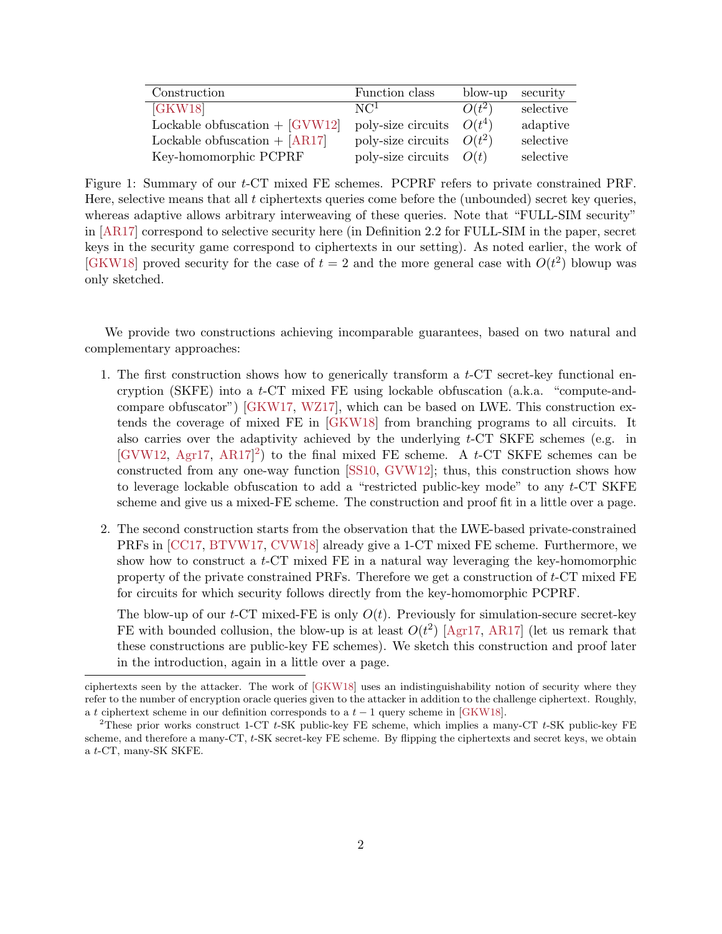| Construction                     | Function class     | blow-up             | security  |
|----------------------------------|--------------------|---------------------|-----------|
| GKW18                            | NC <sup>1</sup>    | $\overline{O}(t^2)$ | selective |
| Lockable obfuscation $+$ [GVW12] | poly-size circuits | $O(t^4)$            | adaptive  |
| Lockable obfuscation $+$ [AR17]  | poly-size circuits | $O(t^2)$            | selective |
| Key-homomorphic PCPRF            | poly-size circuits | O(t)                | selective |

Figure 1: Summary of our t-CT mixed FE schemes. PCPRF refers to private constrained PRF. Here, selective means that all t ciphertexts queries come before the (unbounded) secret key queries, whereas adaptive allows arbitrary interweaving of these queries. Note that "FULL-SIM security" in [\[AR17\]](#page-25-0) correspond to selective security here (in Definition 2.2 for FULL-SIM in the paper, secret keys in the security game correspond to ciphertexts in our setting). As noted earlier, the work of [\[GKW18\]](#page-27-0) proved security for the case of  $t = 2$  and the more general case with  $O(t^2)$  blowup was only sketched.

We provide two constructions achieving incomparable guarantees, based on two natural and complementary approaches:

- 1. The first construction shows how to generically transform a t-CT secret-key functional encryption (SKFE) into a t-CT mixed FE using lockable obfuscation (a.k.a. "compute-andcompare obfuscator") [\[GKW17,](#page-27-2) [WZ17\]](#page-27-3), which can be based on LWE. This construction extends the coverage of mixed FE in [\[GKW18\]](#page-27-0) from branching programs to all circuits. It also carries over the adaptivity achieved by the underlying t-CT SKFE schemes (e.g. in  $[GVW12, Agr17, AR17]<sup>2</sup>$  $[GVW12, Agr17, AR17]<sup>2</sup>$  $[GVW12, Agr17, AR17]<sup>2</sup>$  $[GVW12, Agr17, AR17]<sup>2</sup>$  $[GVW12, Agr17, AR17]<sup>2</sup>$  $[GVW12, Agr17, AR17]<sup>2</sup>$  $[GVW12, Agr17, AR17]<sup>2</sup>$  $[GVW12, Agr17, AR17]<sup>2</sup>$  to the final mixed FE scheme. A t-CT SKFE schemes can be constructed from any one-way function [\[SS10,](#page-27-4) [GVW12\]](#page-27-1); thus, this construction shows how to leverage lockable obfuscation to add a "restricted public-key mode" to any  $t$ -CT SKFE scheme and give us a mixed-FE scheme. The construction and proof fit in a little over a page.
- 2. The second construction starts from the observation that the LWE-based private-constrained PRFs in [\[CC17,](#page-26-1) [BTVW17,](#page-26-2) [CVW18\]](#page-26-3) already give a 1-CT mixed FE scheme. Furthermore, we show how to construct a  $t$ -CT mixed FE in a natural way leveraging the key-homomorphic property of the private constrained PRFs. Therefore we get a construction of t-CT mixed FE for circuits for which security follows directly from the key-homomorphic PCPRF.

The blow-up of our t-CT mixed-FE is only  $O(t)$ . Previously for simulation-secure secret-key FE with bounded collusion, the blow-up is at least  $O(t^2)$  [\[Agr17,](#page-25-1) [AR17\]](#page-25-0) (let us remark that these constructions are public-key FE schemes). We sketch this construction and proof later in the introduction, again in a little over a page.

ciphertexts seen by the attacker. The work of [\[GKW18\]](#page-27-0) uses an indistinguishability notion of security where they refer to the number of encryption oracle queries given to the attacker in addition to the challenge ciphertext. Roughly, a t ciphertext scheme in our definition corresponds to a  $t - 1$  query scheme in [\[GKW18\]](#page-27-0).

<span id="page-3-0"></span><sup>&</sup>lt;sup>2</sup>These prior works construct 1-CT  $t$ -SK public-key FE scheme, which implies a many-CT  $t$ -SK public-key FE scheme, and therefore a many-CT, t-SK secret-key FE scheme. By flipping the ciphertexts and secret keys, we obtain a t-CT, many-SK SKFE.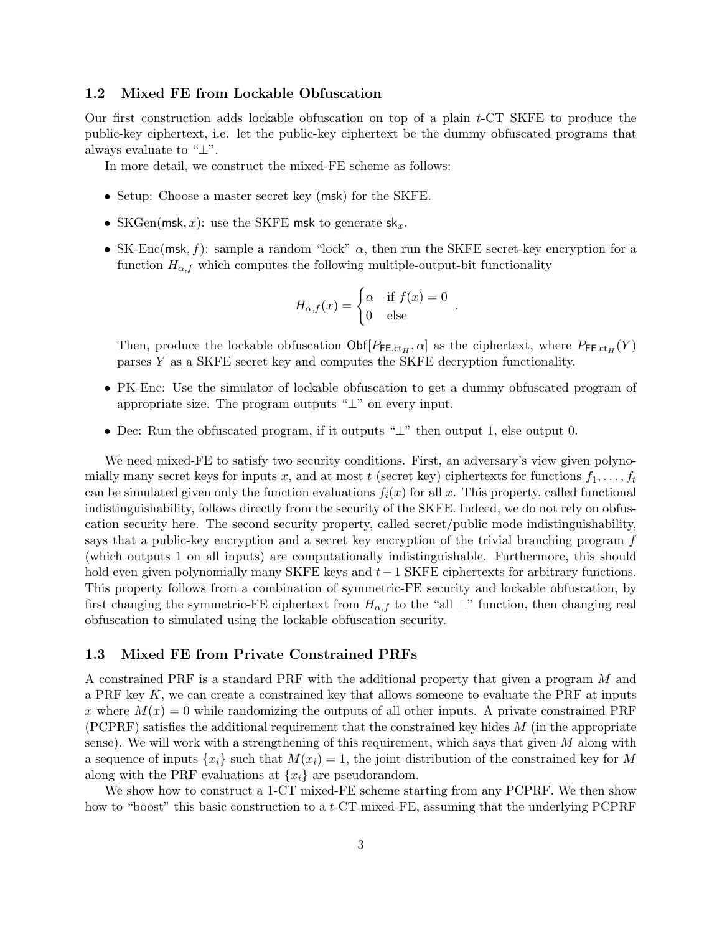## <span id="page-4-0"></span>1.2 Mixed FE from Lockable Obfuscation

Our first construction adds lockable obfuscation on top of a plain  $t$ -CT SKFE to produce the public-key ciphertext, i.e. let the public-key ciphertext be the dummy obfuscated programs that always evaluate to " $\perp$ ".

In more detail, we construct the mixed-FE scheme as follows:

- Setup: Choose a master secret key (msk) for the SKFE.
- SKGen(msk, x): use the SKFE msk to generate  $sk_x$ .
- SK-Enc(msk, f): sample a random "lock"  $\alpha$ , then run the SKFE secret-key encryption for a function  $H_{\alpha,f}$  which computes the following multiple-output-bit functionality

$$
H_{\alpha,f}(x) = \begin{cases} \alpha & \text{if } f(x) = 0\\ 0 & \text{else} \end{cases}
$$

.

Then, produce the lockable obfuscation  $\text{Obf}[P_{\text{FE,ct}_H}, \alpha]$  as the ciphertext, where  $P_{\text{FE,ct}_H}(Y)$ parses Y as a SKFE secret key and computes the SKFE decryption functionality.

- PK-Enc: Use the simulator of lockable obfuscation to get a dummy obfuscated program of appropriate size. The program outputs "⊥" on every input.
- Dec: Run the obfuscated program, if it outputs "⊥" then output 1, else output 0.

We need mixed-FE to satisfy two security conditions. First, an adversary's view given polynomially many secret keys for inputs x, and at most t (secret key) ciphertexts for functions  $f_1, \ldots, f_t$ can be simulated given only the function evaluations  $f_i(x)$  for all x. This property, called functional indistinguishability, follows directly from the security of the SKFE. Indeed, we do not rely on obfuscation security here. The second security property, called secret/public mode indistinguishability, says that a public-key encryption and a secret key encryption of the trivial branching program f (which outputs 1 on all inputs) are computationally indistinguishable. Furthermore, this should hold even given polynomially many SKFE keys and  $t-1$  SKFE ciphertexts for arbitrary functions. This property follows from a combination of symmetric-FE security and lockable obfuscation, by first changing the symmetric-FE ciphertext from  $H_{\alpha,f}$  to the "all  $\perp$ " function, then changing real obfuscation to simulated using the lockable obfuscation security.

#### <span id="page-4-1"></span>1.3 Mixed FE from Private Constrained PRFs

A constrained PRF is a standard PRF with the additional property that given a program M and a PRF key  $K$ , we can create a constrained key that allows someone to evaluate the PRF at inputs x where  $M(x) = 0$  while randomizing the outputs of all other inputs. A private constrained PRF  $(PCPRF)$  satisfies the additional requirement that the constrained key hides  $M$  (in the appropriate sense). We will work with a strengthening of this requirement, which says that given  $M$  along with a sequence of inputs  $\{x_i\}$  such that  $M(x_i) = 1$ , the joint distribution of the constrained key for M along with the PRF evaluations at  $\{x_i\}$  are pseudorandom.

We show how to construct a 1-CT mixed-FE scheme starting from any PCPRF. We then show how to "boost" this basic construction to a t-CT mixed-FE, assuming that the underlying PCPRF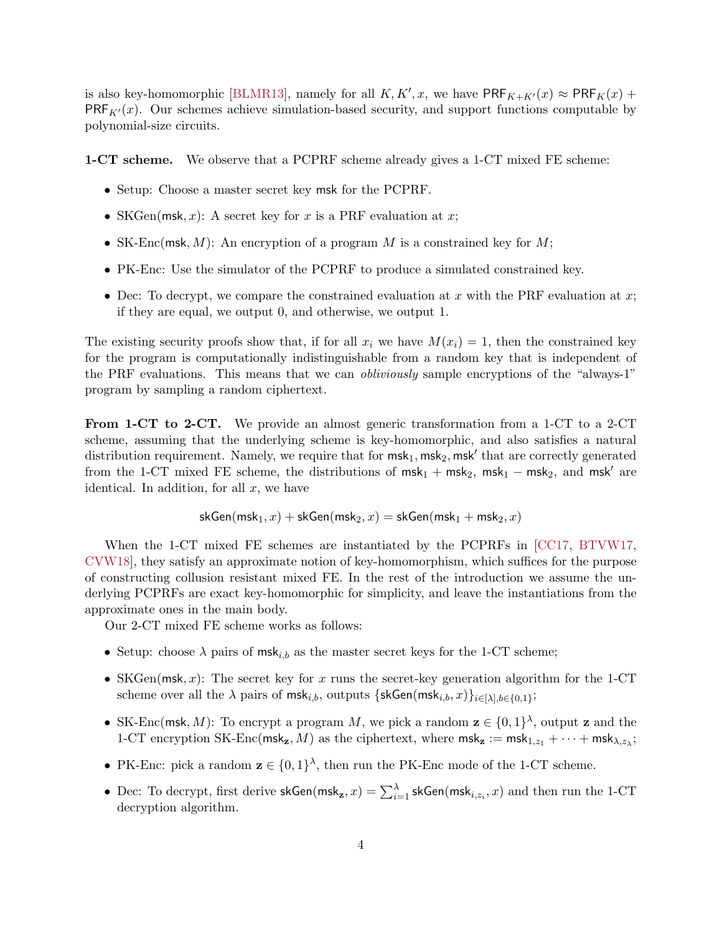is also key-homomorphic [\[BLMR13\]](#page-25-2), namely for all  $K, K', x$ , we have  $\mathsf{PRF}_{K+K'}(x) \approx \mathsf{PRF}_{K}(x) +$ PRF<sub>K'</sub> $(x)$ . Our schemes achieve simulation-based security, and support functions computable by polynomial-size circuits.

1-CT scheme. We observe that a PCPRF scheme already gives a 1-CT mixed FE scheme:

- Setup: Choose a master secret key msk for the PCPRF.
- SKGen(msk, x): A secret key for x is a PRF evaluation at x;
- SK-Enc(msk, M): An encryption of a program M is a constrained key for M;
- PK-Enc: Use the simulator of the PCPRF to produce a simulated constrained key.
- Dec: To decrypt, we compare the constrained evaluation at x with the PRF evaluation at  $x$ ; if they are equal, we output 0, and otherwise, we output 1.

The existing security proofs show that, if for all  $x_i$  we have  $M(x_i) = 1$ , then the constrained key for the program is computationally indistinguishable from a random key that is independent of the PRF evaluations. This means that we can obliviously sample encryptions of the "always-1" program by sampling a random ciphertext.

From 1-CT to 2-CT. We provide an almost generic transformation from a 1-CT to a 2-CT scheme, assuming that the underlying scheme is key-homomorphic, and also satisfies a natural distribution requirement. Namely, we require that for  $\mathsf{msk}_1, \mathsf{msk}_2, \mathsf{msk}'$  that are correctly generated from the 1-CT mixed FE scheme, the distributions of  $msk_1 + msk_2$ ,  $msk_1 - msk_2$ , and  $msk'$  are identical. In addition, for all  $x$ , we have

$$
\mathsf{skGen}(\mathsf{msk}_1,x) + \mathsf{skGen}(\mathsf{msk}_2,x) = \mathsf{skGen}(\mathsf{msk}_1 + \mathsf{msk}_2,x)
$$

When the 1-CT mixed FE schemes are instantiated by the PCPRFs in [\[CC17,](#page-26-1) [BTVW17,](#page-26-2) [CVW18\]](#page-26-3), they satisfy an approximate notion of key-homomorphism, which suffices for the purpose of constructing collusion resistant mixed FE. In the rest of the introduction we assume the underlying PCPRFs are exact key-homomorphic for simplicity, and leave the instantiations from the approximate ones in the main body.

Our 2-CT mixed FE scheme works as follows:

- Setup: choose  $\lambda$  pairs of msk<sub>i,b</sub> as the master secret keys for the 1-CT scheme;
- SKGen(msk, x): The secret key for x runs the secret-key generation algorithm for the 1-CT scheme over all the  $\lambda$  pairs of  ${\sf msk}_{i,b},$  outputs  $\{{\sf skGen}({\sf msk}_{i,b},x)\}_{i\in[\lambda],b\in\{0,1\}};$
- SK-Enc(msk, M): To encrypt a program M, we pick a random  $\mathbf{z} \in \{0,1\}^{\lambda}$ , output  $\mathbf{z}$  and the 1-CT encryption SK-Enc( $\mathsf{msk}_z$ , M) as the ciphertext, where  $\mathsf{msk}_z := \mathsf{msk}_{1,z_1} + \cdots + \mathsf{msk}_{\lambda,z_\lambda}$ ;
- PK-Enc: pick a random  $\mathbf{z} \in \{0,1\}^{\lambda}$ , then run the PK-Enc mode of the 1-CT scheme.
- Dec: To decrypt, first derive  $skGen(msk_z, x) = \sum_{i=1}^{\lambda} skGen(msk_{i,z_i}, x)$  and then run the 1-CT decryption algorithm.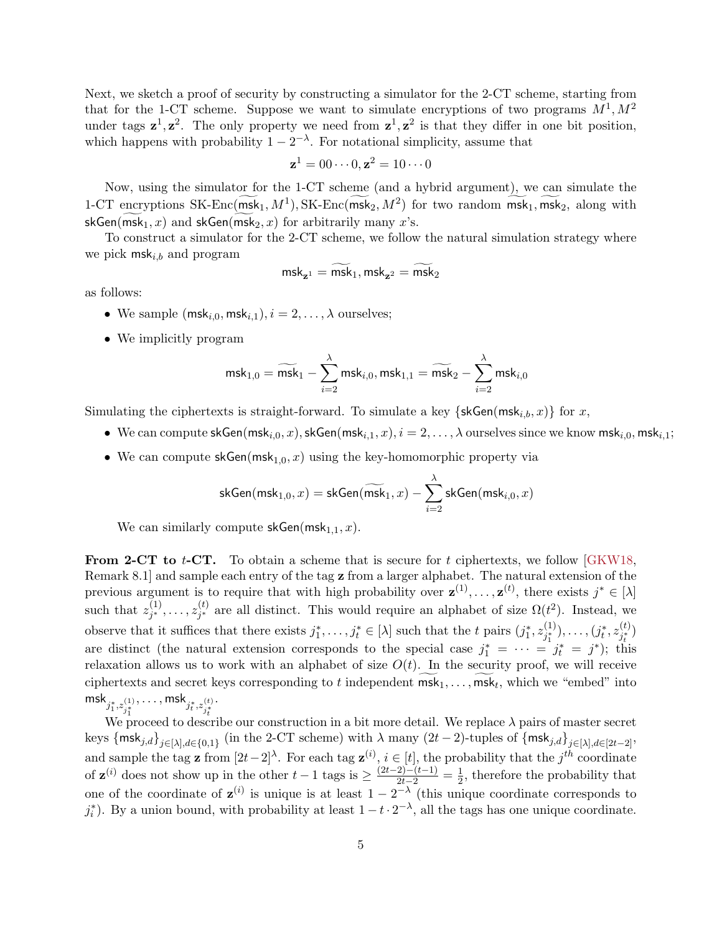Next, we sketch a proof of security by constructing a simulator for the 2-CT scheme, starting from that for the 1-CT scheme. Suppose we want to simulate encryptions of two programs  $M^1, M^2$ under tags  $z^1, z^2$ . The only property we need from  $z^1, z^2$  is that they differ in one bit position, which happens with probability  $1 - 2^{-\lambda}$ . For notational simplicity, assume that

$$
\mathbf{z}^1 = 00 \cdots 0, \mathbf{z}^2 = 10 \cdots 0
$$

Now, using the simulator for the 1-CT scheme (and a hybrid argument), we can simulate the 1-CT encryptions SK-Enc(msk<sub>1</sub>,  $M^1$ ), SK-Enc(msk<sub>2</sub>,  $M^2$ ) for two random msk<sub>1</sub>, msk<sub>2</sub>, along with  $skGen(msk<sub>1</sub>, x)$  and  $skGen(msk<sub>2</sub>, x)$  for arbitrarily many x's.

To construct a simulator for the 2-CT scheme, we follow the natural simulation strategy where we pick  $\mathsf{msk}_{i,b}$  and program

$$
\mathsf{msk}_{\mathbf{z}^1} = \widetilde{\mathsf{msk}}_1, \mathsf{msk}_{\mathbf{z}^2} = \widetilde{\mathsf{msk}}_2
$$

as follows:

- We sample  $(msk_{i,0},msk_{i,1}), i = 2,\ldots,\lambda$  ourselves;
- We implicitly program

$$
\mathsf{msk}_{1,0} = \widetilde{\mathsf{msk}}_1 - \sum_{i=2}^{\lambda} \mathsf{msk}_{i,0}, \mathsf{msk}_{1,1} = \widetilde{\mathsf{msk}}_2 - \sum_{i=2}^{\lambda} \mathsf{msk}_{i,0}
$$

Simulating the ciphertexts is straight-forward. To simulate a key  $\{\textsf{skGen}(\textsf{msk}_{i,b}, x)\}\$  for x,

- We can compute skGen(msk<sub>i,0</sub>, x), skGen(msk<sub>i,1</sub>, x),  $i = 2, ..., \lambda$  ourselves since we know msk<sub>i,0</sub>, msk<sub>i,1</sub>;
- We can compute  $skGen(msk_{1,0}, x)$  using the key-homomorphic property via

$$
\mathsf{skGen}(\mathsf{msk}_{1,0}, x) = \mathsf{skGen}(\widetilde{\mathsf{msk}}_1, x) - \sum_{i=2}^{\lambda} \mathsf{skGen}(\mathsf{msk}_{i,0}, x)
$$

We can similarly compute  $skGen(msk<sub>1,1</sub>, x)$ .

**From 2-CT to t-CT.** To obtain a scheme that is secure for t ciphertexts, we follow [\[GKW18,](#page-27-0) Remark 8.1] and sample each entry of the tag z from a larger alphabet. The natural extension of the previous argument is to require that with high probability over  $\mathbf{z}^{(1)}, \ldots, \mathbf{z}^{(t)}$ , there exists  $j^* \in [\lambda]$ such that  $z_{i^*}^{(1)}$  $z_j^{(1)}, \ldots, z_{j^*}^{(t)}$  $j^*$  are all distinct. This would require an alphabet of size  $\Omega(t^2)$ . Instead, we observe that it suffices that there exists  $j_1^*, \ldots, j_t^* \in [\lambda]$  such that the t pairs  $(j_1^*, z_{j_1^*}^{(1)})$  $(j_1^{(1)}), \ldots, (j_t^*, z_{j_t^*}^{(t)})$  $\binom{t}{j_t^*}$ are distinct (the natural extension corresponds to the special case  $j_1^* = \cdots = j_t^* = j^*$ ); this relaxation allows us to work with an alphabet of size  $O(t)$ . In the security proof, we will receive ciphertexts and secret keys corresponding to t independent  $\mathsf{msk}_1, \ldots, \mathsf{msk}_t$ , which we "embed" into  ${\sf msk}_{j^*_1,z_{j^*_1}^{(1)},\ldots,{\sf msk}_{j^*_t,z_{j^*_t}^{(t)}}}$ .

We proceed to describe our construction in a bit more detail. We replace  $\lambda$  pairs of master secret keys  $\{\textsf{msk}_{j,d}\}_{j\in[\lambda],d\in\{0,1\}}$  (in the 2-CT scheme) with  $\lambda$  many  $(2t-2)$ -tuples of  $\{\textsf{msk}_{j,d}\}_{j\in[\lambda],d\in[2t-2]},$ and sample the tag **z** from  $[2t-2]^{\lambda}$ . For each tag  $\mathbf{z}^{(i)}$ ,  $i \in [t]$ , the probability that the  $j^{th}$  coordinate of  $\mathbf{z}^{(i)}$  does not show up in the other  $t-1$  tags is  $\geq \frac{(2t-2)-(t-1)}{2t-2} = \frac{1}{2}$  $\frac{1}{2}$ , therefore the probability that one of the coordinate of  $z^{(i)}$  is unique is at least  $1 - 2^{-\lambda}$  (this unique coordinate corresponds to  $j_i^*$ ). By a union bound, with probability at least  $1 - t \cdot 2^{-\lambda}$ , all the tags has one unique coordinate.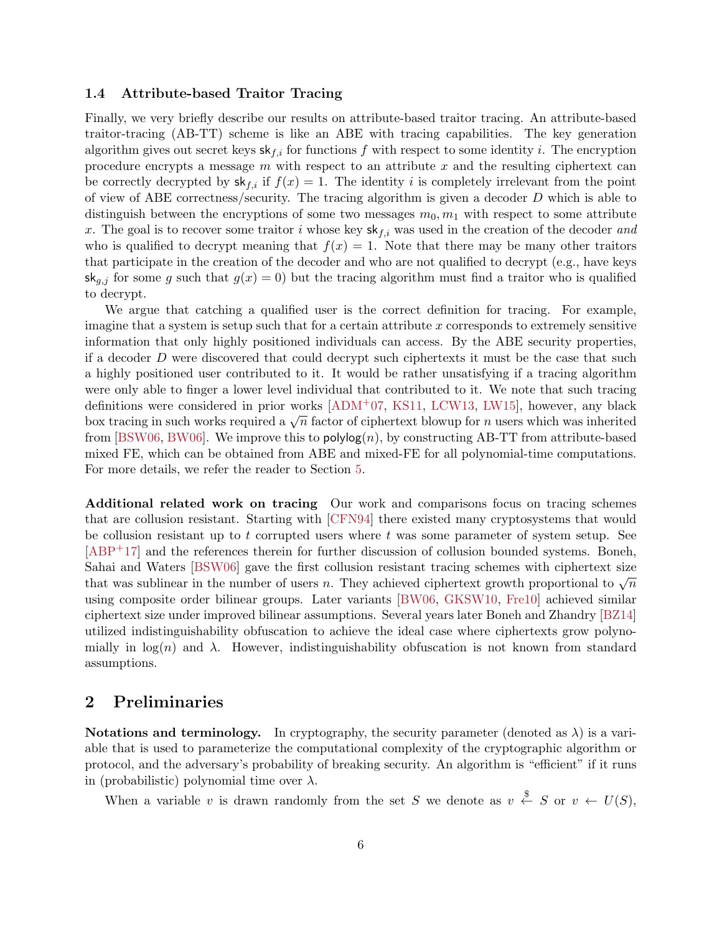## <span id="page-7-0"></span>1.4 Attribute-based Traitor Tracing

Finally, we very briefly describe our results on attribute-based traitor tracing. An attribute-based traitor-tracing (AB-TT) scheme is like an ABE with tracing capabilities. The key generation algorithm gives out secret keys  $sk_{f,i}$  for functions f with respect to some identity i. The encryption procedure encrypts a message  $m$  with respect to an attribute  $x$  and the resulting ciphertext can be correctly decrypted by  $sk_{f,i}$  if  $f(x) = 1$ . The identity i is completely irrelevant from the point of view of ABE correctness/security. The tracing algorithm is given a decoder  $D$  which is able to distinguish between the encryptions of some two messages  $m_0, m_1$  with respect to some attribute x. The goal is to recover some traitor i whose key  $\mathsf{sk}_{f,i}$  was used in the creation of the decoder and who is qualified to decrypt meaning that  $f(x) = 1$ . Note that there may be many other traitors that participate in the creation of the decoder and who are not qualified to decrypt (e.g., have keys  $\mathsf{sk}_{q,j}$  for some g such that  $g(x) = 0$ ) but the tracing algorithm must find a traitor who is qualified to decrypt.

We argue that catching a qualified user is the correct definition for tracing. For example, imagine that a system is setup such that for a certain attribute  $x$  corresponds to extremely sensitive information that only highly positioned individuals can access. By the ABE security properties, if a decoder  $D$  were discovered that could decrypt such ciphertexts it must be the case that such a highly positioned user contributed to it. It would be rather unsatisfying if a tracing algorithm were only able to finger a lower level individual that contributed to it. We note that such tracing definitions were considered in prior works  $[ADM<sup>+</sup>07, KS11, LCW13, LW15]$  $[ADM<sup>+</sup>07, KS11, LCW13, LW15]$  $[ADM<sup>+</sup>07, KS11, LCW13, LW15]$  $[ADM<sup>+</sup>07, KS11, LCW13, LW15]$  $[ADM<sup>+</sup>07, KS11, LCW13, LW15]$  $[ADM<sup>+</sup>07, KS11, LCW13, LW15]$  $[ADM<sup>+</sup>07, KS11, LCW13, LW15]$ , however, any black box tracing in such works required a  $\sqrt{n}$  factor of ciphertext blowup for *n* users which was inherited box tracing in such works required a  $\sqrt{n}$  factor of ciphertext blowup for *n* users which was inherited from [\[BSW06,](#page-26-4) [BW06\]](#page-26-5). We improve this to  $\mathsf{polylog}(n)$ , by constructing AB-TT from attribute-based mixed FE, which can be obtained from ABE and mixed-FE for all polynomial-time computations. For more details, we refer the reader to Section [5.](#page-19-0)

Additional related work on tracing Our work and comparisons focus on tracing schemes that are collusion resistant. Starting with [\[CFN94\]](#page-26-0) there existed many cryptosystems that would be collusion resistant up to t corrupted users where t was some parameter of system setup. See [\[ABP](#page-25-4)+17] and the references therein for further discussion of collusion bounded systems. Boneh, Sahai and Waters [\[BSW06\]](#page-26-4) gave the first collusion resistant tracing schemes with ciphertext size that was sublinear in the number of users n. They achieved ciphertext growth proportional to  $\sqrt{n}$ using composite order bilinear groups. Later variants [\[BW06,](#page-26-5) [GKSW10,](#page-26-6) [Fre10\]](#page-26-7) achieved similar ciphertext size under improved bilinear assumptions. Several years later Boneh and Zhandry [\[BZ14\]](#page-26-8) utilized indistinguishability obfuscation to achieve the ideal case where ciphertexts grow polynomially in  $log(n)$  and  $\lambda$ . However, indistinguishability obfuscation is not known from standard assumptions.

# <span id="page-7-1"></span>2 Preliminaries

Notations and terminology. In cryptography, the security parameter (denoted as  $\lambda$ ) is a variable that is used to parameterize the computational complexity of the cryptographic algorithm or protocol, and the adversary's probability of breaking security. An algorithm is "efficient" if it runs in (probabilistic) polynomial time over  $\lambda$ .

When a variable v is drawn randomly from the set S we denote as  $v \stackrel{\$}{\leftarrow} S$  or  $v \leftarrow U(S)$ ,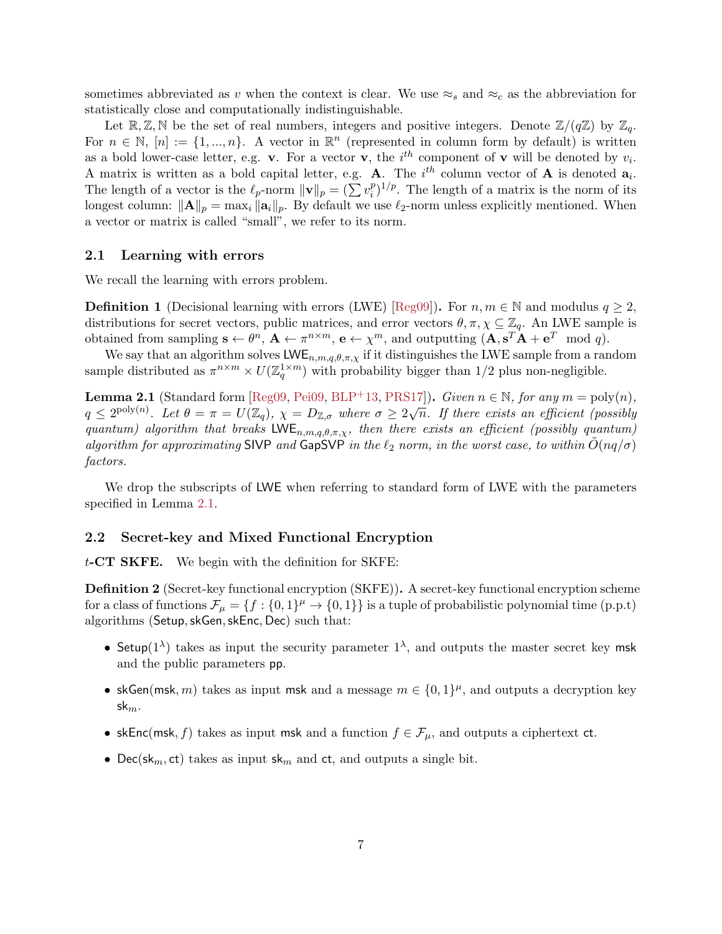sometimes abbreviated as v when the context is clear. We use  $\approx_s$  and  $\approx_c$  as the abbreviation for statistically close and computationally indistinguishable.

Let  $\mathbb{R}, \mathbb{Z}, \mathbb{N}$  be the set of real numbers, integers and positive integers. Denote  $\mathbb{Z}/(q\mathbb{Z})$  by  $\mathbb{Z}_q$ . For  $n \in \mathbb{N}$ ,  $[n] := \{1, ..., n\}$ . A vector in  $\mathbb{R}^n$  (represented in column form by default) is written as a bold lower-case letter, e.g. v. For a vector v, the  $i^{th}$  component of v will be denoted by  $v_i$ . A matrix is written as a bold capital letter, e.g. A. The  $i^{th}$  column vector of A is denoted  $a_i$ . The length of a vector is the  $\ell_p$ -norm  $\|\mathbf{v}\|_p = (\sum v_i^p)$  $\binom{p}{i}^{1/p}$ . The length of a matrix is the norm of its longest column:  $\|\mathbf{A}\|_p = \max_i \|\mathbf{a}_i\|_p$ . By default we use  $\ell_2$ -norm unless explicitly mentioned. When a vector or matrix is called "small", we refer to its norm.

## <span id="page-8-0"></span>2.1 Learning with errors

We recall the learning with errors problem.

**Definition 1** (Decisional learning with errors (LWE) [\[Reg09\]](#page-27-8)). For  $n, m \in \mathbb{N}$  and modulus  $q \geq 2$ , distributions for secret vectors, public matrices, and error vectors  $\theta, \pi, \chi \subseteq \mathbb{Z}_q$ . An LWE sample is obtained from sampling  $\mathbf{s} \leftarrow \theta^n$ ,  $\mathbf{A} \leftarrow \pi^{n \times m}$ ,  $\mathbf{e} \leftarrow \chi^m$ , and outputting  $(\mathbf{A}, \mathbf{s}^T \mathbf{A} + \mathbf{e}^T \mod q)$ .

We say that an algorithm solves  $LWE_{n,m,q,\theta,\pi,\chi}$  if it distinguishes the LWE sample from a random sample distributed as  $\pi^{n \times m} \times U(\mathbb{Z}_q^{1 \times m})$  with probability bigger than 1/2 plus non-negligible.

<span id="page-8-2"></span>**Lemma 2.1** (Standard form  $[Reg09, Pei09, BLP<sup>+</sup>13, PRS17]$  $[Reg09, Pei09, BLP<sup>+</sup>13, PRS17]$  $[Reg09, Pei09, BLP<sup>+</sup>13, PRS17]$  $[Reg09, Pei09, BLP<sup>+</sup>13, PRS17]$  $[Reg09, Pei09, BLP<sup>+</sup>13, PRS17]$  $[Reg09, Pei09, BLP<sup>+</sup>13, PRS17]$  $[Reg09, Pei09, BLP<sup>+</sup>13, PRS17]$ ). Given  $n \in \mathbb{N}$ , for any  $m = poly(n)$ ,  $q \leq 2^{\text{poly}(n)}$ . Let  $\theta = \pi = U(\mathbb{Z}_q)$ ,  $\chi = D_{\mathbb{Z}, \sigma}$  where  $\sigma \geq 2\sqrt{n}$ . If there exists an efficient (possibly quantum) algorithm that breaks  $LWE_{n,m,q,\theta,\pi,\chi}$ , then there exists an efficient (possibly quantum) algorithm for approximating SIVP and GapSVP in the  $\ell_2$  norm, in the worst case, to within  $\tilde{O}(nq/\sigma)$ factors.

We drop the subscripts of LWE when referring to standard form of LWE with the parameters specified in Lemma [2.1.](#page-8-2)

#### <span id="page-8-1"></span>2.2 Secret-key and Mixed Functional Encryption

 $t$ -CT SKFE. We begin with the definition for SKFE:

Definition 2 (Secret-key functional encryption (SKFE)). A secret-key functional encryption scheme for a class of functions  $\mathcal{F}_{\mu} = \{f : \{0,1\}^{\mu} \to \{0,1\}\}\$ is a tuple of probabilistic polynomial time (p.p.t) algorithms (Setup, skGen, skEnc, Dec) such that:

- Setup( $1^{\lambda}$ ) takes as input the security parameter  $1^{\lambda}$ , and outputs the master secret key msk and the public parameters pp.
- skGen(msk, m) takes as input msk and a message  $m \in \{0,1\}^{\mu}$ , and outputs a decryption key  $\mathsf{sk}_m$ .
- skEnc(msk, f) takes as input msk and a function  $f \in \mathcal{F}_{\mu}$ , and outputs a ciphertext ct.
- Dec(sk<sub>m</sub>, ct) takes as input sk<sub>m</sub> and ct, and outputs a single bit.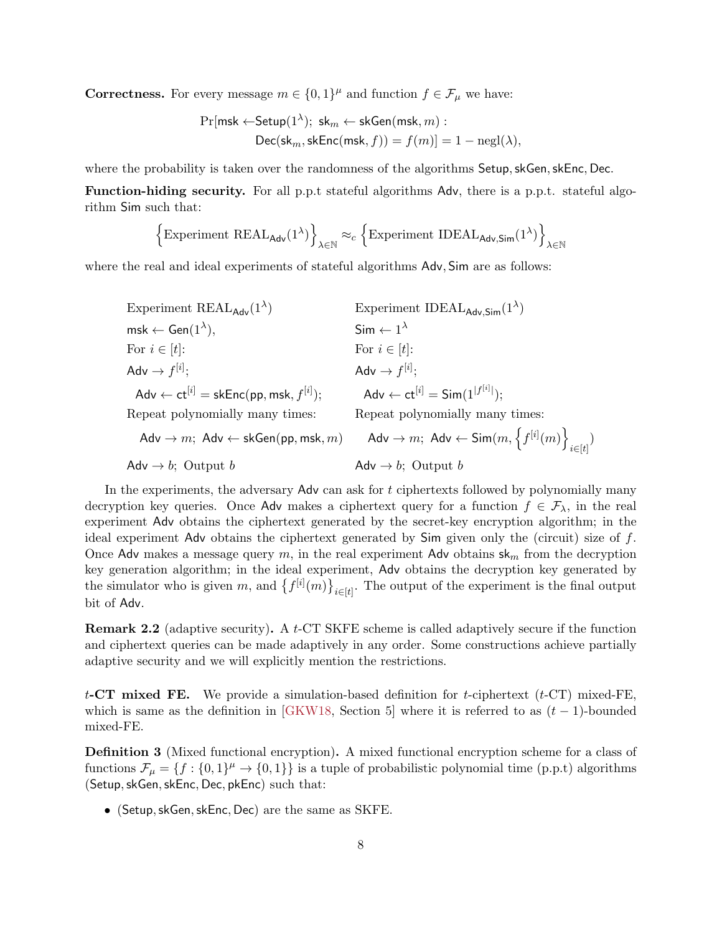**Correctness.** For every message  $m \in \{0,1\}^{\mu}$  and function  $f \in \mathcal{F}_{\mu}$  we have:

$$
\begin{aligned} \Pr[\mathsf{msk} \leftarrow & \mathsf{Setup}(1^{\lambda}); \ \mathsf{sk}_m \leftarrow \mathsf{skGen}(\mathsf{msk},m): \\ & \mathsf{Dec}(\mathsf{sk}_m,\mathsf{skEnc}(\mathsf{msk},f)) = f(m)] = 1-\text{negl}(\lambda), \end{aligned}
$$

where the probability is taken over the randomness of the algorithms Setup, skGen, skEnc, Dec.

Function-hiding security. For all p.p.t stateful algorithms Adv, there is a p.p.t. stateful algorithm Sim such that:

$$
\left\{\text{Experiment REAL}_{\text{Adv}}(1^{\lambda})\right\}_{\lambda \in \mathbb{N}} \approx_c \left\{\text{Experiment IDEAL}_{\text{Adv},\text{Sim}}(1^{\lambda})\right\}_{\lambda \in \mathbb{N}}
$$

where the real and ideal experiments of stateful algorithms  $\Delta dv$ ,  $\sin$  are as follows:

| Experiment REAL <sub>Adv</sub> $(1^{\lambda})$                   | Experiment IDEAL <sub>Adv.Sim</sub> $(1^{\lambda})$                                   |  |  |
|------------------------------------------------------------------|---------------------------------------------------------------------------------------|--|--|
| $msk \leftarrow Gen(1^{\lambda}),$                               | Sim $\leftarrow 1^{\lambda}$                                                          |  |  |
| For $i \in [t]$ :                                                | For $i \in [t]$ :                                                                     |  |  |
| Adv $\rightarrow f^{[i]}$ ;                                      | Adv $\rightarrow f^{[i]}$ ;                                                           |  |  |
| Adv $\leftarrow$ ct <sup>[i]</sup> = skEnc(pp, msk, $f^{[i]}$ ); | Adv $\leftarrow ct^{[i]} = Sim(1^{ f^{[i]} });$                                       |  |  |
| Repeat polynomially many times:                                  | Repeat polynomially many times:                                                       |  |  |
| Adv $\rightarrow$ m; Adv $\leftarrow$ skGen(pp, msk, m)          | Adv $\rightarrow$ m; Adv $\leftarrow$ Sim $(m, \left\{f^{[i]}(m)\right\}_{i\in [t]})$ |  |  |
| Adv $\rightarrow b$ ; Output b                                   | Adv $\rightarrow b$ ; Output b                                                        |  |  |

In the experiments, the adversary Adv can ask for t ciphertexts followed by polynomially many decryption key queries. Once Adv makes a ciphertext query for a function  $f \in \mathcal{F}_{\lambda}$ , in the real experiment Adv obtains the ciphertext generated by the secret-key encryption algorithm; in the ideal experiment Adv obtains the ciphertext generated by Sim given only the (circuit) size of f. Once Adv makes a message query m, in the real experiment Adv obtains  $\mathsf{sk}_m$  from the decryption key generation algorithm; in the ideal experiment, Adv obtains the decryption key generated by the simulator who is given m, and  $\{f^{[i]}(m)\}_{i\in[t]}$ . The output of the experiment is the final output bit of Adv.

Remark 2.2 (adaptive security). A t-CT SKFE scheme is called adaptively secure if the function and ciphertext queries can be made adaptively in any order. Some constructions achieve partially adaptive security and we will explicitly mention the restrictions.

t-CT mixed FE. We provide a simulation-based definition for t-ciphertext  $(t$ -CT) mixed-FE, which is same as the definition in [\[GKW18,](#page-27-0) Section 5] where it is referred to as  $(t-1)$ -bounded mixed-FE.

Definition 3 (Mixed functional encryption). A mixed functional encryption scheme for a class of functions  $\mathcal{F}_{\mu} = \{f : \{0,1\}^{\mu} \to \{0,1\}\}\$ is a tuple of probabilistic polynomial time (p.p.t) algorithms (Setup,skGen,skEnc, Dec, pkEnc) such that:

• (Setup,skGen,skEnc, Dec) are the same as SKFE.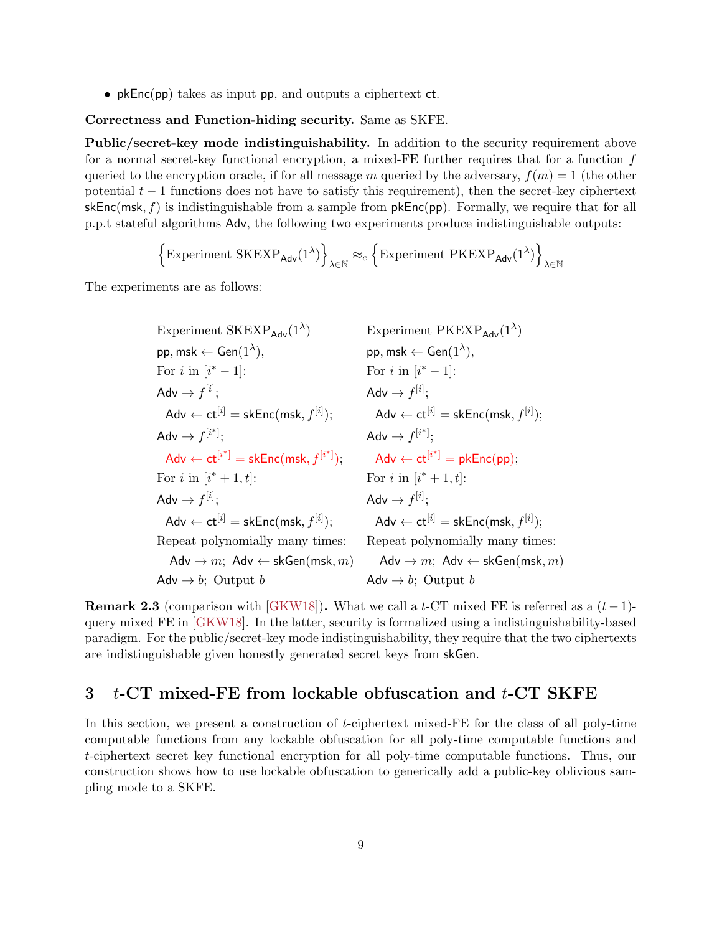• pkEnc(pp) takes as input pp, and outputs a ciphertext ct.

#### Correctness and Function-hiding security. Same as SKFE.

Public/secret-key mode indistinguishability. In addition to the security requirement above for a normal secret-key functional encryption, a mixed-FE further requires that for a function f queried to the encryption oracle, if for all message m queried by the adversary,  $f(m) = 1$  (the other potential  $t-1$  functions does not have to satisfy this requirement), then the secret-key ciphertext skEnc(msk,  $f$ ) is indistinguishable from a sample from  $pkEnc(pp)$ . Formally, we require that for all p.p.t stateful algorithms Adv, the following two experiments produce indistinguishable outputs:

$$
\left\{\text{Experiment SKEY}_{Adv}(1^{\lambda})\right\}_{\lambda \in \mathbb{N}} \approx_{c} \left\{\text{Experiment PKEY}_{Adv}(1^{\lambda})\right\}_{\lambda \in \mathbb{N}}
$$

The experiments are as follows:

Experiment SKEXP<sub>Adv</sub>(1<sup>λ</sup>)

\npp, msk ← Gen(1<sup>λ</sup>),

\nFor 
$$
i
$$
 in  $[i^* - 1]$ :

\nAdv  $\rightarrow f^{[i]}$ ;

\nAdv  $\leftarrow ct^{[i]} = skEnc(msk, f^{[i]});$ 

\nAdv  $\leftarrow t^{[i^*]} = skEnc(msk, f^{[i]});$ 

\nAdv  $\leftarrow ct^{[i^*]} = skEnc(msk, f^{[i^*]});$ 

\nAdv  $\leftarrow ct^{[i^*]} = skEnc(msk, f^{[i^*]});$ 

\nAdv  $\leftarrow ct^{[i^*]} = skEnc(msk, f^{[i^*]});$ 

\nAdv  $\leftarrow ct^{[i^*]} = pkEnc(pp);$ 

\nFor  $i$  in  $[i^* + 1, t]$ :

\nAdv  $\rightarrow f^{[i]}$ ;

\nAdv  $\leftarrow ct^{[i]} = skEnc(msk, f^{[i]});$ 

\nAdv  $\leftarrow ft^{[i]}$ ;

\nAdv  $\leftarrow ft^{[i]} = skEnc(msk, f^{[i]});$ 

\nAdv  $\leftarrow ct^{[i]} = skEnc(msk, f^{[i]});$ 

\nRepeat polynomially many times:

\nRedv  $\rightarrow m$ ; Adv  $\leftarrow skGen(msk, m)$ 

\nAdv  $\rightarrow m$ ; Adv  $\leftarrow skGen(msk, m)$ 

\nAdv  $\rightarrow b$ ; Output  $b$ 

\nAdv  $\rightarrow b$ ; Output  $b$ 

**Remark 2.3** (comparison with [\[GKW18\]](#page-27-0)). What we call a t-CT mixed FE is referred as a  $(t-1)$ query mixed FE in [\[GKW18\]](#page-27-0). In the latter, security is formalized using a indistinguishability-based paradigm. For the public/secret-key mode indistinguishability, they require that the two ciphertexts are indistinguishable given honestly generated secret keys from skGen.

# <span id="page-10-0"></span> $3$  t-CT mixed-FE from lockable obfuscation and t-CT SKFE

In this section, we present a construction of t-ciphertext mixed-FE for the class of all poly-time computable functions from any lockable obfuscation for all poly-time computable functions and t-ciphertext secret key functional encryption for all poly-time computable functions. Thus, our construction shows how to use lockable obfuscation to generically add a public-key oblivious sampling mode to a SKFE.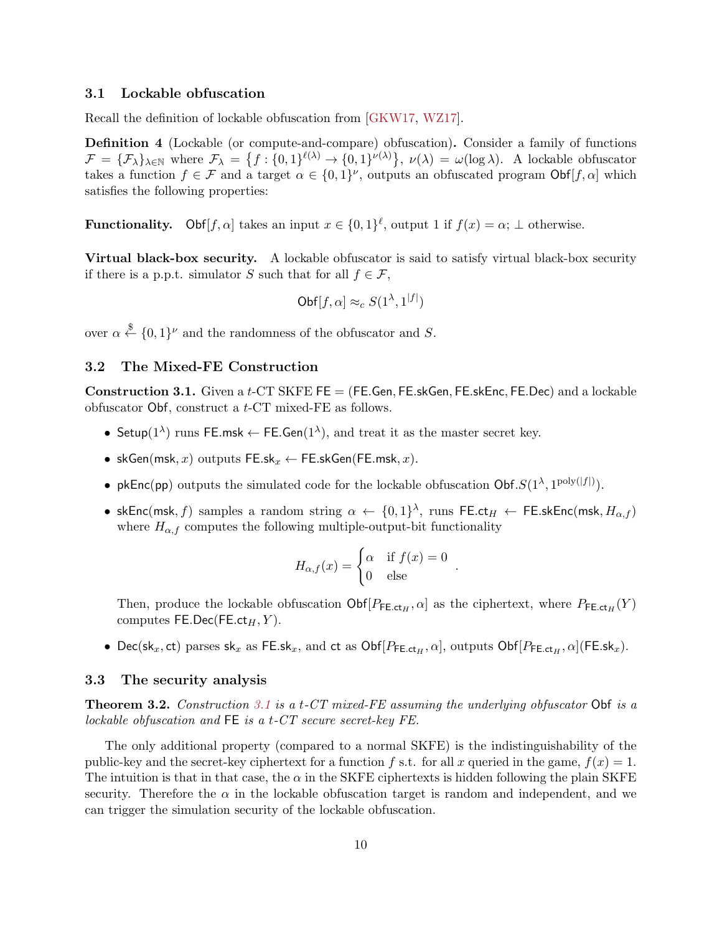#### <span id="page-11-0"></span>3.1 Lockable obfuscation

Recall the definition of lockable obfuscation from [\[GKW17,](#page-27-2) [WZ17\]](#page-27-3).

Definition 4 (Lockable (or compute-and-compare) obfuscation). Consider a family of functions  $\mathcal{F} = {\{\mathcal{F}_{\lambda}\}}_{\lambda \in \mathbb{N}}$  where  $\mathcal{F}_{\lambda} = {\{f : \{0,1\}^{\ell(\lambda)} \rightarrow \{0,1\}^{\nu(\lambda)}\}}$ ,  $\nu(\lambda) = \omega(\log \lambda)$ . A lockable obfuscator takes a function  $f \in \mathcal{F}$  and a target  $\alpha \in \{0,1\}^{\nu}$ , outputs an obfuscated program Obf[f,  $\alpha$ ] which satisfies the following properties:

**Functionality.** Obf $[f, \alpha]$  takes an input  $x \in \{0, 1\}^{\ell}$ , output 1 if  $f(x) = \alpha$ ;  $\bot$  otherwise.

Virtual black-box security. A lockable obfuscator is said to satisfy virtual black-box security if there is a p.p.t. simulator S such that for all  $f \in \mathcal{F}$ ,

$$
\mathsf{Obf}[f,\alpha] \approx_c S(1^{\lambda},1^{|f|})
$$

over  $\alpha \stackrel{\$}{\leftarrow} \{0,1\}^{\nu}$  and the randomness of the obfuscator and S.

## <span id="page-11-1"></span>3.2 The Mixed-FE Construction

<span id="page-11-3"></span>**Construction 3.1.** Given a  $t$ -CT SKFE  $FE = (FE.Gen, FE.skGen, FE.skEnc, FE.Dec)$  and a lockable obfuscator Obf, construct a t-CT mixed-FE as follows.

- Setup( $1^{\lambda}$ ) runs FE.msk  $\leftarrow$  FE.Gen( $1^{\lambda}$ ), and treat it as the master secret key.
- skGen(msk, x) outputs  $\mathsf{FE}.\mathsf{sk}_x \leftarrow \mathsf{FE}.\mathsf{skGen}(\mathsf{FE}.\mathsf{msk}, x)$ .
- pkEnc(pp) outputs the simulated code for the lockable obfuscation  $Obf.S(1^{\lambda}, 1^{\text{poly}(|f|)}).$
- skEnc(msk, f) samples a random string  $\alpha \leftarrow \{0,1\}^{\lambda}$ , runs FE.ct $_H \leftarrow$  FE.skEnc(msk,  $H_{\alpha,f}$ ) where  $H_{\alpha,f}$  computes the following multiple-output-bit functionality

$$
H_{\alpha,f}(x) = \begin{cases} \alpha & \text{if } f(x) = 0\\ 0 & \text{else} \end{cases}
$$

.

Then, produce the lockable obfuscation  $\text{Obf}[P_{\text{FE,ct}_H}, \alpha]$  as the ciphertext, where  $P_{\text{FE,ct}_H}(Y)$ computes FE.Dec(FE.ct<sub>H</sub>, Y).

• Dec(sk<sub>x</sub>, ct) parses sk<sub>x</sub> as FE.sk<sub>x</sub>, and ct as Obf[ $P_{\sf FE,ct_H}, \alpha$ ], outputs Obf[ $P_{\sf FE,ct_H}, \alpha$ ](FE.sk<sub>x</sub>).

# <span id="page-11-2"></span>3.3 The security analysis

**Theorem 3.2.** Construction [3.1](#page-11-3) is a t-CT mixed-FE assuming the underlying obfuscator Obf is a lockable obfuscation and FE is a t-CT secure secret-key FE.

The only additional property (compared to a normal SKFE) is the indistinguishability of the public-key and the secret-key ciphertext for a function f s.t. for all x queried in the game,  $f(x) = 1$ . The intuition is that in that case, the  $\alpha$  in the SKFE ciphertexts is hidden following the plain SKFE security. Therefore the  $\alpha$  in the lockable obfuscation target is random and independent, and we can trigger the simulation security of the lockable obfuscation.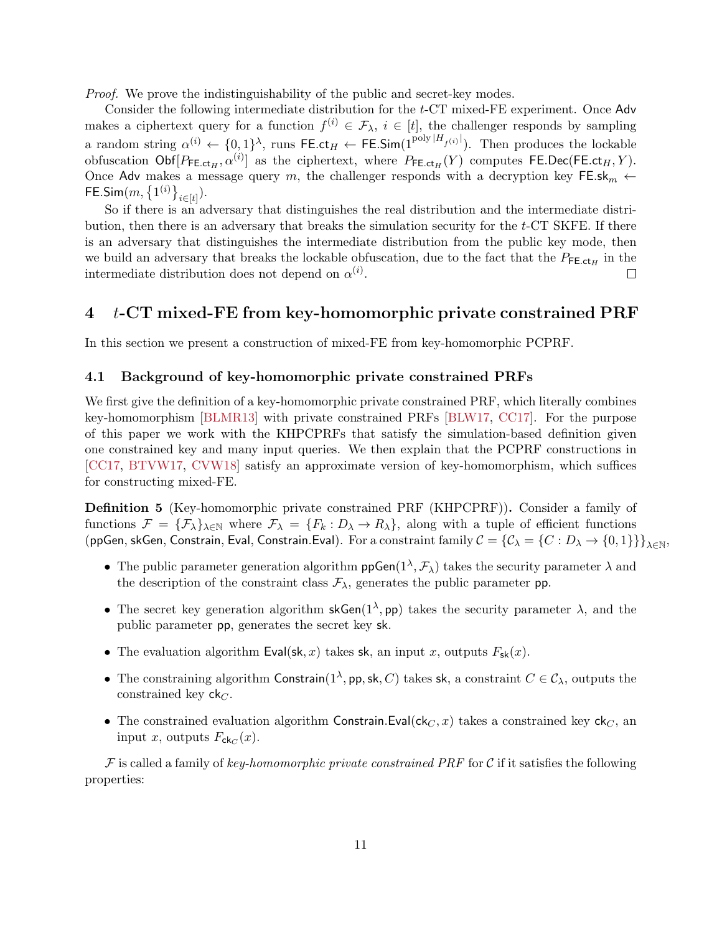*Proof.* We prove the indistinguishability of the public and secret-key modes.

Consider the following intermediate distribution for the t-CT mixed-FE experiment. Once Adv makes a ciphertext query for a function  $f^{(i)} \in \mathcal{F}_{\lambda}, i \in [t]$ , the challenger responds by sampling a random string  $\alpha^{(i)} \leftarrow \{0,1\}^{\lambda}$ , runs FE.ct $_H \leftarrow$  FE.Sim $(1^{\text{poly}|H_{f^{(i)}}|})$ . Then produces the lockable obfuscation  $\text{Obf}[P_{\text{FE,ct}_H}, \alpha^{(i)}]$  as the ciphertext, where  $P_{\text{FE,ct}_H}(Y)$  computes FE.Dec(FE.ct<sub>H</sub>, Y). Once Adv makes a message query m, the challenger responds with a decryption key FE.sk<sub>m</sub>  $\leftarrow$ FE.Sim $(m, \left\{1^{(i)}\right\}_{i \in [t]})$ .

So if there is an adversary that distinguishes the real distribution and the intermediate distribution, then there is an adversary that breaks the simulation security for the t-CT SKFE. If there is an adversary that distinguishes the intermediate distribution from the public key mode, then we build an adversary that breaks the lockable obfuscation, due to the fact that the  $P_{\text{FE,ct}}$  in the intermediate distribution does not depend on  $\alpha^{(i)}$ .  $\Box$ 

# <span id="page-12-0"></span>4 t-CT mixed-FE from key-homomorphic private constrained PRF

In this section we present a construction of mixed-FE from key-homomorphic PCPRF.

#### <span id="page-12-1"></span>4.1 Background of key-homomorphic private constrained PRFs

We first give the definition of a key-homomorphic private constrained PRF, which literally combines key-homomorphism [\[BLMR13\]](#page-25-2) with private constrained PRFs [\[BLW17,](#page-25-6) [CC17\]](#page-26-1). For the purpose of this paper we work with the KHPCPRFs that satisfy the simulation-based definition given one constrained key and many input queries. We then explain that the PCPRF constructions in [\[CC17,](#page-26-1) [BTVW17,](#page-26-2) [CVW18\]](#page-26-3) satisfy an approximate version of key-homomorphism, which suffices for constructing mixed-FE.

Definition 5 (Key-homomorphic private constrained PRF (KHPCPRF)). Consider a family of functions  $\mathcal{F} = {\{\mathcal{F}_{\lambda}\}}_{\lambda \in \mathbb{N}}$  where  $\mathcal{F}_{\lambda} = {F_k : D_{\lambda} \to R_{\lambda}\}$ , along with a tuple of efficient functions (ppGen, skGen, Constrain, Eval, Constrain.Eval). For a constraint family  $C = \{C_\lambda = \{C: D_\lambda \to \{0,1\}\}\}_{\lambda \in \mathbb{N}},$ 

- The public parameter generation algorithm  $ppGen(1^{\lambda}, \mathcal{F}_{\lambda})$  takes the security parameter  $\lambda$  and the description of the constraint class  $\mathcal{F}_{\lambda}$ , generates the public parameter pp.
- The secret key generation algorithm skGen( $1^{\lambda}$ , pp) takes the security parameter  $\lambda$ , and the public parameter pp, generates the secret key sk.
- The evaluation algorithm Eval(sk, x) takes sk, an input x, outputs  $F_{\text{sk}}(x)$ .
- The constraining algorithm Constrain( $1^{\lambda}$ , pp, sk, C) takes sk, a constraint  $C \in \mathcal{C}_{\lambda}$ , outputs the constrained key  $ck_C$ .
- The constrained evaluation algorithm Constrain.Eval(ck<sub>C</sub>, x) takes a constrained key ck<sub>C</sub>, an input x, outputs  $F_{\mathsf{ck}_C}(x)$ .

 $\mathcal F$  is called a family of key-homomorphic private constrained PRF for C if it satisfies the following properties: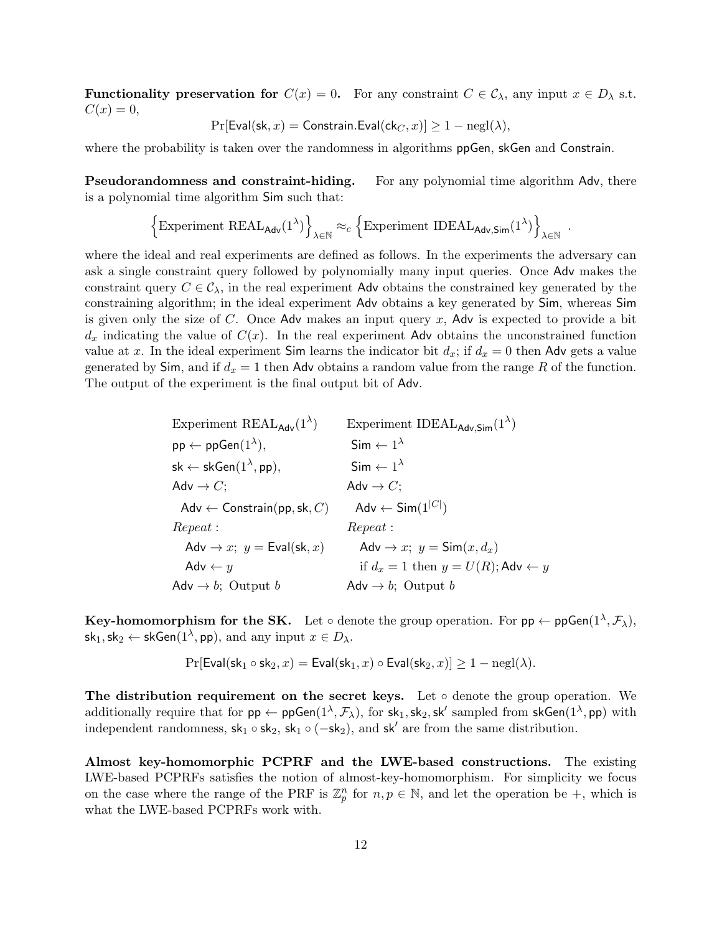**Functionality preservation for**  $C(x) = 0$ . For any constraint  $C \in C_\lambda$ , any input  $x \in D_\lambda$  s.t.  $C(x) = 0,$ 

$$
\Pr[\mathsf{Eval}(\mathsf{sk}, x) = \mathsf{Constrain}.\mathsf{Eval}(\mathsf{ck}_C, x)] \ge 1 - \mathrm{negl}(\lambda),
$$

where the probability is taken over the randomness in algorithms **ppGen**, skGen and Constrain.

Pseudorandomness and constraint-hiding. For any polynomial time algorithm Adv, there is a polynomial time algorithm Sim such that:

$$
\left\{ \text{Experiment REAL}_{\text{Adv}}(1^{\lambda}) \right\}_{\lambda \in \mathbb{N}} \approx_c \left\{ \text{Experiment IDEAL}_{\text{Adv},\text{Sim}}(1^{\lambda}) \right\}_{\lambda \in \mathbb{N}}
$$

.

where the ideal and real experiments are defined as follows. In the experiments the adversary can ask a single constraint query followed by polynomially many input queries. Once Adv makes the constraint query  $C \in \mathcal{C}_{\lambda}$ , in the real experiment Adv obtains the constrained key generated by the constraining algorithm; in the ideal experiment Adv obtains a key generated by Sim, whereas Sim is given only the size of C. Once Adv makes an input query x, Adv is expected to provide a bit  $d_x$  indicating the value of  $C(x)$ . In the real experiment Adv obtains the unconstrained function value at x. In the ideal experiment Sim learns the indicator bit  $d_x$ ; if  $d_x = 0$  then Adv gets a value generated by Sim, and if  $d_x = 1$  then Adv obtains a random value from the range R of the function. The output of the experiment is the final output bit of Adv.

| Experiment REAL <sub>Adv</sub> $(1^{\lambda})$                  | Experiment IDEAL <sub>Adv.Sim</sub> $(1^{\lambda})$ |
|-----------------------------------------------------------------|-----------------------------------------------------|
| $pp \leftarrow ppGen(1^{\lambda}),$                             | Sim $\leftarrow 1^{\lambda}$                        |
| $\mathsf{sk} \leftarrow \mathsf{skGen}(1^\lambda,\mathsf{pp}),$ | Sim $\leftarrow 1^{\lambda}$                        |
| Adv $\rightarrow C$ ;                                           | Adv $\rightarrow C$ ;                               |
| Adv $\leftarrow$ Constrain(pp, sk, C)                           | Adv $\leftarrow$ Sim $(1^{ C })$                    |
| Repeat :                                                        | Repeat:                                             |
| Adv $\rightarrow x$ ; $y = \text{Eval}(\textsf{sk}, x)$         | Adv $\rightarrow x$ ; $y = Sim(x, d_x)$             |
| Adv $\leftarrow$ y                                              | if $d_x = 1$ then $y = U(R)$ ; Adv $\leftarrow y$   |
| Adv $\rightarrow b$ ; Output b                                  | Adv $\rightarrow b$ ; Output b                      |

Key-homomorphism for the SK. Let  $\circ$  denote the group operation. For  $pp \leftarrow ppGen(1^{\lambda}, \mathcal{F}_{\lambda}),$  $\mathsf{sk}_1, \mathsf{sk}_2 \leftarrow \mathsf{skGen}(1^\lambda, \mathsf{pp}), \text{ and any input } x \in D_\lambda.$ 

$$
\Pr[\mathsf{Eval}(\mathsf{sk}_1 \circ \mathsf{sk}_2, x) = \mathsf{Eval}(\mathsf{sk}_1, x) \circ \mathsf{Eval}(\mathsf{sk}_2, x)] \ge 1 - \mathrm{negl}(\lambda).
$$

The distribution requirement on the secret keys. Let  $\circ$  denote the group operation. We additionally require that for  $\mathsf{pp}\leftarrow \mathsf{ppGen}(1^\lambda,\mathcal{F}_\lambda),$  for  $\mathsf{sk}_1,\mathsf{sk}_2,\mathsf{sk}'$  sampled from  $\mathsf{skGen}(1^\lambda,\mathsf{pp})$  with independent randomness,  $sk_1 \circ sk_2$ ,  $sk_1 \circ (-sk_2)$ , and  $sk'$  are from the same distribution.

Almost key-homomorphic PCPRF and the LWE-based constructions. The existing LWE-based PCPRFs satisfies the notion of almost-key-homomorphism. For simplicity we focus on the case where the range of the PRF is  $\mathbb{Z}_p^n$  for  $n, p \in \mathbb{N}$ , and let the operation be +, which is what the LWE-based PCPRFs work with.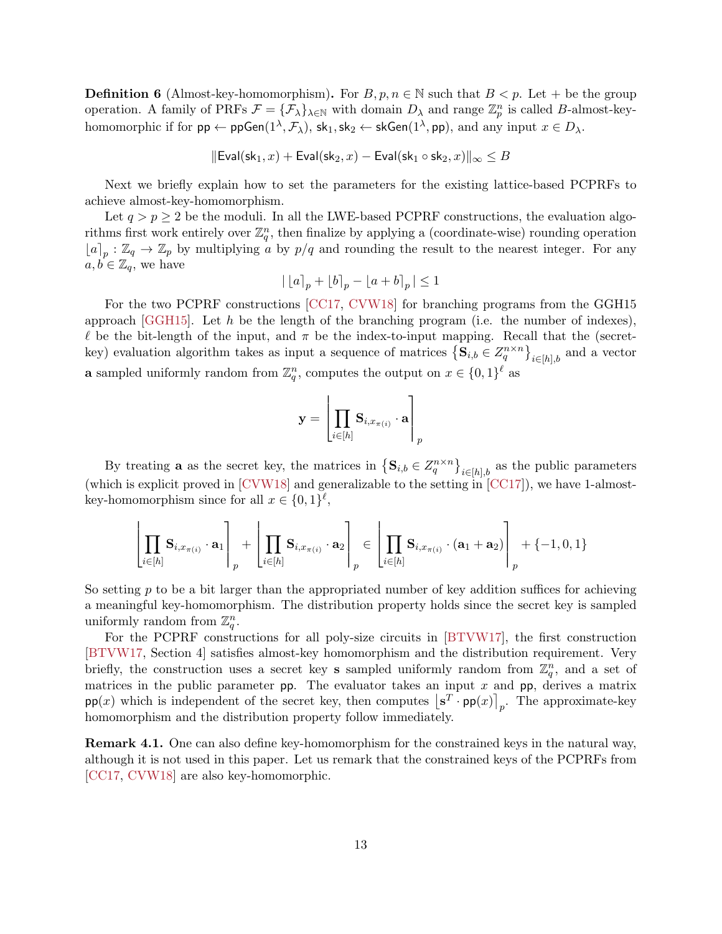**Definition 6** (Almost-key-homomorphism). For  $B, p, n \in \mathbb{N}$  such that  $B < p$ . Let + be the group operation. A family of PRFs  $\mathcal{F} = {\{\mathcal{F}_\lambda\}}_{\lambda \in \mathbb{N}}$  with domain  $D_\lambda$  and range  $\mathbb{Z}_p^n$  is called B-almost-keyhomomorphic if for  $\mathsf{pp} \leftarrow \mathsf{ppGen}(1^\lambda,\mathcal{F}_\lambda), \, \mathsf{sk}_1,\mathsf{sk}_2 \leftarrow \mathsf{skGen}(1^\lambda,\mathsf{pp}), \text{ and any input } x \in D_\lambda.$ 

 $\|\text{Eval}(\textsf{sk}_1, x) + \text{Eval}(\textsf{sk}_2, x) - \text{Eval}(\textsf{sk}_1 \circ \textsf{sk}_2, x)\|_{\infty} \leq B$ 

Next we briefly explain how to set the parameters for the existing lattice-based PCPRFs to achieve almost-key-homomorphism.

Let  $q > p \geq 2$  be the moduli. In all the LWE-based PCPRF constructions, the evaluation algorithms first work entirely over  $\mathbb{Z}_q^n$ , then finalize by applying a (coordinate-wise) rounding operation  $[a]_p : \mathbb{Z}_q \to \mathbb{Z}_p$  by multiplying a by  $p/q$  and rounding the result to the nearest integer. For any  $a, b \in \mathbb{Z}_q$ , we have

$$
|\left\lfloor a\right\rfloor_p + \left\lfloor b\right\rfloor_p - \left\lfloor a+b\right\rfloor_p \mid \le 1
$$

For the two PCPRF constructions [\[CC17,](#page-26-1) [CVW18\]](#page-26-3) for branching programs from the GGH15 approach  $[GGH15]$ . Let h be the length of the branching program (i.e. the number of indexes),  $\ell$  be the bit-length of the input, and  $\pi$  be the index-to-input mapping. Recall that the (secretkey) evaluation algorithm takes as input a sequence of matrices  $\left\{ \mathbf{S}_{i,b} \in Z_q^{n \times n} \right\}_{i \in [h],b}$  and a vector **a** sampled uniformly random from  $\mathbb{Z}_q^n$ , computes the output on  $x \in \{0,1\}^{\ell}$  as

$$
\mathbf{y} = \left\lfloor \prod_{i \in [h]} \mathbf{S}_{i, x_{\pi(i)}} \cdot \mathbf{a} \right\rfloor_p
$$

By treating **a** as the secret key, the matrices in  $\{\mathbf{S}_{i,b} \in Z_q^{n \times n}\}_{i \in [h],b}$  as the public parameters (which is explicit proved in [\[CVW18\]](#page-26-3) and generalizable to the setting in [\[CC17\]](#page-26-1)), we have 1-almostkey-homomorphism since for all  $x \in \{0,1\}^{\ell}$ ,

$$
\left\lfloor \prod_{i \in [h]} \mathbf{S}_{i, x_{\pi(i)}} \cdot \mathbf{a}_1 \right\rfloor_p + \left\lfloor \prod_{i \in [h]} \mathbf{S}_{i, x_{\pi(i)}} \cdot \mathbf{a}_2 \right\rfloor_p \in \left\lfloor \prod_{i \in [h]} \mathbf{S}_{i, x_{\pi(i)}} \cdot (\mathbf{a}_1 + \mathbf{a}_2) \right\rfloor_p + \{-1, 0, 1\}
$$

So setting  $p$  to be a bit larger than the appropriated number of key addition suffices for achieving a meaningful key-homomorphism. The distribution property holds since the secret key is sampled uniformly random from  $\mathbb{Z}_q^n$ .

For the PCPRF constructions for all poly-size circuits in [\[BTVW17\]](#page-26-2), the first construction [\[BTVW17,](#page-26-2) Section 4] satisfies almost-key homomorphism and the distribution requirement. Very briefly, the construction uses a secret key **s** sampled uniformly random from  $\mathbb{Z}_q^n$ , and a set of matrices in the public parameter  $pp$ . The evaluator takes an input x and  $pp$ , derives a matrix  $\textsf{pp}(x)$  which is independent of the secret key, then computes  $\left[\mathbf{s}^T\cdot\mathbf{pp}(x)\right]_p$ . The approximate-key homomorphism and the distribution property follow immediately.

Remark 4.1. One can also define key-homomorphism for the constrained keys in the natural way, although it is not used in this paper. Let us remark that the constrained keys of the PCPRFs from [\[CC17,](#page-26-1) [CVW18\]](#page-26-3) are also key-homomorphic.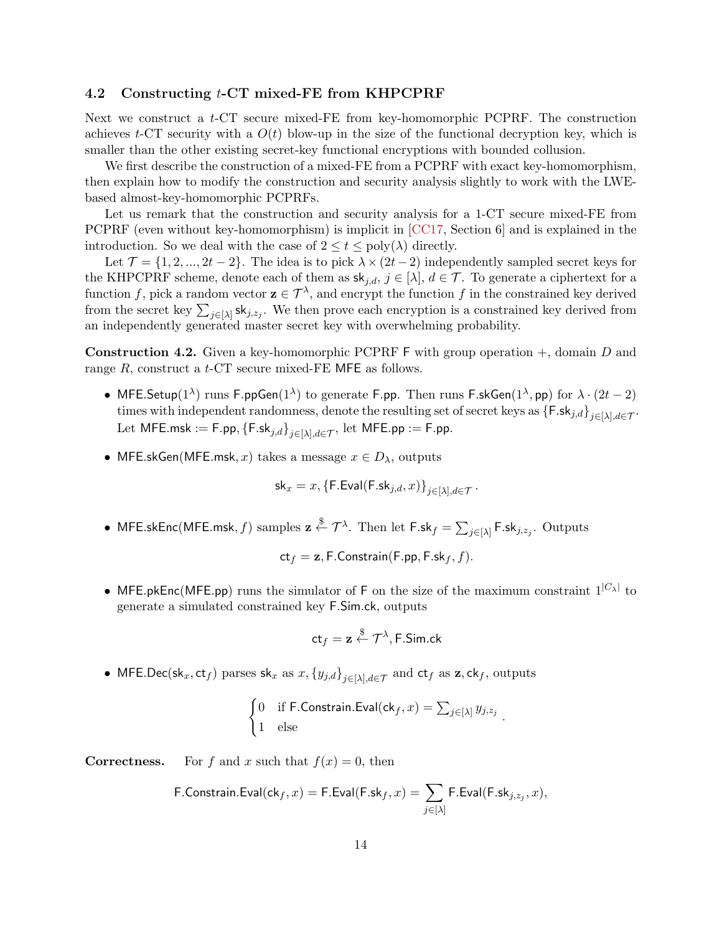## <span id="page-15-0"></span>4.2 Constructing t-CT mixed-FE from KHPCPRF

Next we construct a t-CT secure mixed-FE from key-homomorphic PCPRF. The construction achieves t-CT security with a  $O(t)$  blow-up in the size of the functional decryption key, which is smaller than the other existing secret-key functional encryptions with bounded collusion.

We first describe the construction of a mixed-FE from a PCPRF with exact key-homomorphism, then explain how to modify the construction and security analysis slightly to work with the LWEbased almost-key-homomorphic PCPRFs.

Let us remark that the construction and security analysis for a 1-CT secure mixed-FE from PCPRF (even without key-homomorphism) is implicit in [\[CC17,](#page-26-1) Section 6] and is explained in the introduction. So we deal with the case of  $2 \le t \le \text{poly}(\lambda)$  directly.

Let  $\mathcal{T} = \{1, 2, ..., 2t - 2\}$ . The idea is to pick  $\lambda \times (2t-2)$  independently sampled secret keys for the KHPCPRF scheme, denote each of them as  $\mathsf{sk}_{i,d}, j \in [\lambda], d \in \mathcal{T}$ . To generate a ciphertext for a function f, pick a random vector  $\mathbf{z} \in \mathcal{T}^{\lambda}$ , and encrypt the function f in the constrained key derived from the secret key  $\sum_{j\in[\lambda]}$  sk<sub>j,zj</sub>. We then prove each encryption is a constrained key derived from an independently generated master secret key with overwhelming probability.

<span id="page-15-1"></span>**Construction 4.2.** Given a key-homomorphic PCPRF  $\mathsf{F}$  with group operation  $+$ , domain D and range R, construct a t-CT secure mixed-FE MFE as follows.

- MFE.Setup(1<sup> $\lambda$ </sup>) runs F.ppGen(1<sup> $\lambda$ </sup>) to generate F.pp. Then runs F.skGen(1<sup> $\lambda$ </sup>, pp) for  $\lambda \cdot (2t-2)$ times with independent randomness, denote the resulting set of secret keys as  $\{\mathsf{F}.\mathsf{sk}_{j,d}\}_{j\in[\lambda],d\in\mathcal{T}}$ . Let MFE.msk := F.pp,  ${F.\mathsf{sk}_{j,d}}_{j\in[\lambda],d\in\mathcal{T}}$ , let MFE.pp := F.pp.
- MFE.skGen(MFE.msk, x) takes a message  $x \in D_\lambda$ , outputs

$$
\mathsf{sk}_x = x, \left\{ \mathsf{F}.\mathsf{Eval}(\mathsf{F}.\mathsf{sk}_{j,d}, x) \right\}_{j \in [\lambda], d \in \mathcal{T}}.
$$

• MFE.skEnc(MFE.msk,  $f)$  samples  $\mathbf{z}\overset{\$}{\leftarrow}\mathcal{T}^{\lambda}.$  Then let  $\mathsf{F}.\mathsf{sk}_f=\sum_{j\in[\lambda]} \mathsf{F}.\mathsf{sk}_{j,z_j}.$  Outputs

$$
ct_f = z
$$
, F.Constrain(F.pp, F.sk<sub>f</sub>, f).

• MFE.pkEnc(MFE.pp) runs the simulator of F on the size of the maximum constraint  $1^{|C_\lambda|}$  to generate a simulated constrained key F.Sim.ck, outputs

$$
\mathsf{ct}_f = \mathbf{z} \stackrel{\$}{\leftarrow} \mathcal{T}^\lambda, \mathsf{F}.\mathsf{Sim}.\mathsf{ck}
$$

• MFE.Dec(sk<sub>x</sub>, ct<sub>f</sub>) parses sk<sub>x</sub> as  $x$ ,  ${y_{j,d}}_{j \in [\lambda], d \in \mathcal{T}}$  and ct<sub>f</sub> as  $z$ , ck<sub>f</sub>, outputs

$$
\begin{cases}\n0 & \text{if } \mathsf{F}.\mathsf{Constrain}.\mathsf{Eval}(\mathsf{ck}_f, x) = \sum_{j \in [\lambda]} y_{j,z_j} \\
1 & \text{else}\n\end{cases}.
$$

**Correctness.** For f and x such that  $f(x) = 0$ , then

$$
\textsf{F.} \textsf{Constrain}.\textsf{Eval}(\textsf{ck}_f, x) = \textsf{F}.\textsf{Eval}(\textsf{F}.\textsf{sk}_f, x) = \sum_{j \in [\lambda]} \textsf{F}.\textsf{Eval}(\textsf{F}.\textsf{sk}_{j,z_j}, x),
$$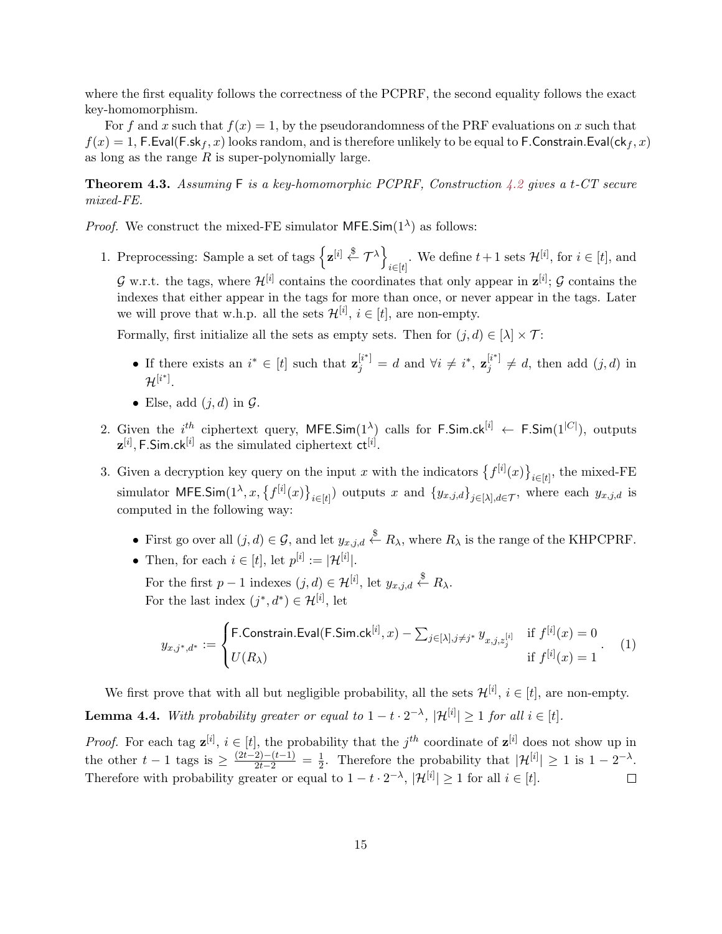where the first equality follows the correctness of the PCPRF, the second equality follows the exact key-homomorphism.

For f and x such that  $f(x) = 1$ , by the pseudorandomness of the PRF evaluations on x such that  $f(x) = 1$ , F.Eval(F.sk, x) looks random, and is therefore unlikely to be equal to F.Constrain.Eval(ck, x) as long as the range  $R$  is super-polynomially large.

**Theorem 4.3.** Assuming  $F$  is a key-homomorphic PCPRF, Construction [4.2](#page-15-1) gives a t-CT secure mixed-FE.

*Proof.* We construct the mixed-FE simulator MFE. Sim( $1^{\lambda}$ ) as follows:

1. Preprocessing: Sample a set of tags  $\{z^{[i]} \stackrel{\$}{\leftarrow} \mathcal{T}^{\lambda}\}\$  $i \in [t]$ . We define  $t+1$  sets  $\mathcal{H}^{[i]}$ , for  $i \in [t]$ , and G w.r.t. the tags, where  $\mathcal{H}^{[i]}$  contains the coordinates that only appear in  $\mathbf{z}^{[i]}$ ; G contains the indexes that either appear in the tags for more than once, or never appear in the tags. Later we will prove that w.h.p. all the sets  $\mathcal{H}^{[i]}$ ,  $i \in [t]$ , are non-empty.

Formally, first initialize all the sets as empty sets. Then for  $(j, d) \in [\lambda] \times \mathcal{T}$ :

- If there exists an  $i^* \in [t]$  such that  $\mathbf{z}_{j}^{[i^*]} = d$  and  $\forall i \neq i^*, \mathbf{z}_{j}^{[i^*]}$  $j^{[i]} \neq d$ , then add  $(j,d)$  in  $\mathcal{H}^{[i^*]}.$
- Else, add  $(j, d)$  in  $\mathcal{G}$ .
- 2. Given the  $i^{th}$  ciphertext query, MFE.Sim(1<sup> $\lambda$ </sup>) calls for F.Sim.ck<sup>[i]</sup>  $\leftarrow$  F.Sim(1<sup>|C|</sup>), outputs  $\mathbf{z}^{[i]}$ , F.Sim.ck $^{[i]}$  as the simulated ciphertext  $\mathsf{ct}^{[i]}$ .
- 3. Given a decryption key query on the input x with the indicators  $\{f^{[i]}(x)\}_{i\in[t]}$ , the mixed-FE simulator MFE.Sim $(1^{\lambda}, x, \{f^{[i]}(x)\}_{i\in[t]})$  outputs x and  $\{y_{x,j,d}\}_{j\in[\lambda],d\in\mathcal{T}}$ , where each  $y_{x,j,d}$  is computed in the following way:
	- First go over all  $(j, d) \in \mathcal{G}$ , and let  $y_{x, j, d} \stackrel{\$}{\leftarrow} R_{\lambda}$ , where  $R_{\lambda}$  is the range of the KHPCPRF.
	- Then, for each  $i \in [t]$ , let  $p^{[i]} := |\mathcal{H}^{[i]}|$ .
		- For the first  $p-1$  indexes  $(j,d) \in \mathcal{H}^{[i]}$ , let  $y_{x,j,d} \stackrel{\$}{\leftarrow} R_{\lambda}$ . For the last index  $(j^*, d^*) \in \mathcal{H}^{[i]}$ , let

$$
y_{x,j^*,d^*} := \begin{cases} \text{F.} & \text{Constant.} \text{Eval}(\text{F.} \text{Sim.} \text{ck}^{[i]}, x) - \sum_{j \in [\lambda], j \neq j^*} y_{x,j,z_j^{[i]}} & \text{if } f^{[i]}(x) = 0 \\ U(R_\lambda) & \text{if } f^{[i]}(x) = 1 \end{cases} \tag{1}
$$

<span id="page-16-0"></span>We first prove that with all but negligible probability, all the sets  $\mathcal{H}^{[i]}$ ,  $i \in [t]$ , are non-empty. **Lemma 4.4.** With probability greater or equal to  $1-t \cdot 2^{-\lambda}$ ,  $|\mathcal{H}^{[i]}| \geq 1$  for all  $i \in [t]$ .

*Proof.* For each tag  $z^{[i]}$ ,  $i \in [t]$ , the probability that the  $j^{th}$  coordinate of  $z^{[i]}$  does not show up in the other  $t - 1$  tags is  $\geq \frac{(2t-2)-(t-1)}{2t-2} = \frac{1}{2}$  $\frac{1}{2}$ . Therefore the probability that  $|\mathcal{H}^{[i]}| \geq 1$  is  $1 - 2^{-\lambda}$ . Therefore with probability greater or equal to  $1-t \cdot 2^{-\lambda}$ ,  $|\mathcal{H}^{[i]}| \geq 1$  for all  $i \in [t]$ .  $\Box$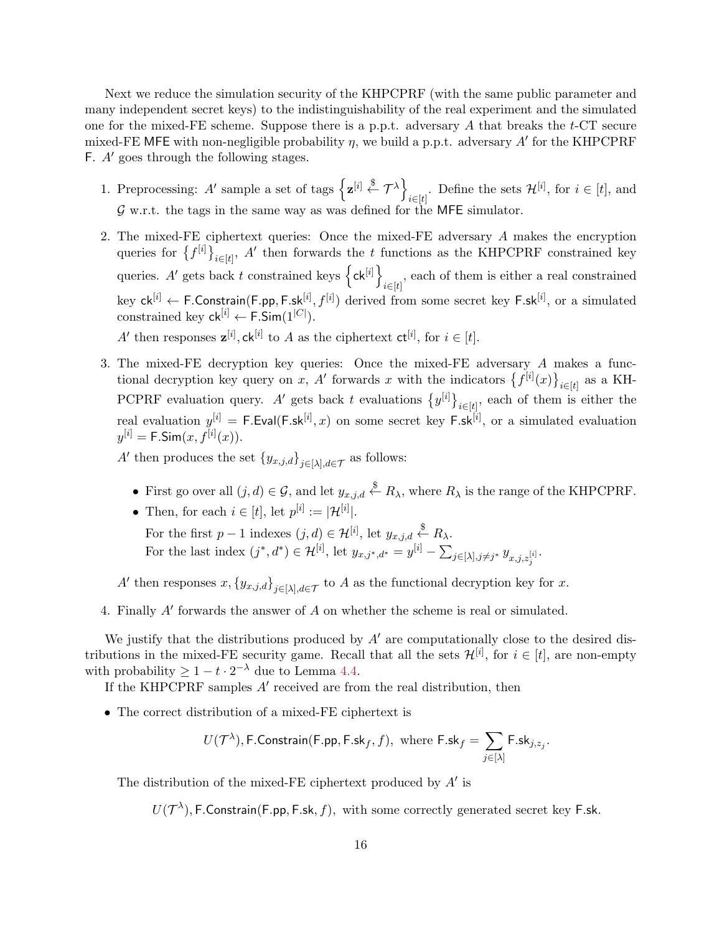Next we reduce the simulation security of the KHPCPRF (with the same public parameter and many independent secret keys) to the indistinguishability of the real experiment and the simulated one for the mixed-FE scheme. Suppose there is a p.p.t. adversary A that breaks the  $t$ -CT secure mixed-FE MFE with non-negligible probability  $\eta$ , we build a p.p.t. adversary A' for the KHPCPRF F.  $A'$  goes through the following stages.

- 1. Preprocessing: A' sample a set of tags  $\left\{ \mathbf{z}^{[i]} \stackrel{\$}{\leftarrow} \mathcal{T}^{\lambda} \right\}$  $i \in [t]$ . Define the sets  $\mathcal{H}^{[i]}$ , for  $i \in [t]$ , and  $\mathcal G$  w.r.t. the tags in the same way as was defined for the MFE simulator.
- 2. The mixed-FE ciphertext queries: Once the mixed-FE adversary A makes the encryption queries for  $\{f^{[i]}\}_{i\in[t]}$ , A' then forwards the t functions as the KHPCPRF constrained key queries. A' gets back t constrained keys  $\{\mathsf{ck}^{[i]}\}\$  $i \in [t]$ , each of them is either a real constrained key  $ck^{[i]} \leftarrow F$ .Constrain(F.pp, F.sk $^{[i]}$ ,  $f^{[i]}$ ) derived from some secret key F.sk $^{[i]}$ , or a simulated constrained key  $\mathsf{ck}^{[i]} \leftarrow \mathsf{F}.\mathsf{Sim}(1^{|C|}).$

A' then responses  $\mathbf{z}^{[i]}$ ,  $\mathsf{ck}^{[i]}$  to A as the ciphertext  $\mathsf{ct}^{[i]}$ , for  $i \in [t]$ .

- 3. The mixed-FE decryption key queries: Once the mixed-FE adversary A makes a functional decryption key query on x, A' forwards x with the indicators  $\{f^{[i]}(x)\}_{i\in[t]}$  as a KH-PCPRF evaluation query. A' gets back t evaluations  $\{y^{[i]}\}_{i \in [t]},$  each of them is either the real evaluation  $y^{[i]} = \mathsf{F}.\mathsf{Eval}(\mathsf{F}.\mathsf{sk}^{[i]}, x)$  on some secret key  $\mathsf{F}.\mathsf{sk}^{[i]}$ , or a simulated evaluation  $y^{[i]} = \mathsf{F}.\mathsf{Sim}(x, f^{[i]}(x)).$ 
	- A' then produces the set  $\{y_{x,j,d}\}_{j\in[\lambda],d\in\mathcal{T}}$  as follows:
		- First go over all  $(j, d) \in \mathcal{G}$ , and let  $y_{x,j,d} \stackrel{\$}{\leftarrow} R_{\lambda}$ , where  $R_{\lambda}$  is the range of the KHPCPRF.
		- Then, for each  $i \in [t]$ , let  $p^{[i]} := |\mathcal{H}^{[i]}|$ .
			- For the first  $p-1$  indexes  $(j,d) \in \mathcal{H}^{[i]}$ , let  $y_{x,j,d} \stackrel{\$}{\leftarrow} R_{\lambda}$ . For the last index  $(j^*, d^*) \in \mathcal{H}^{[i]}$ , let  $y_{x,j^*,d^*} = y^{[i]} - \sum_{j \in [\lambda], j \neq j^*} y_{x,j,z_j^{[i]}}$ .
	- A' then responses  $x, \{y_{x,j,d}\}_{j\in[\lambda],d\in\mathcal{T}}$  to A as the functional decryption key for x.
- 4. Finally  $A'$  forwards the answer of  $A$  on whether the scheme is real or simulated.

We justify that the distributions produced by  $A'$  are computationally close to the desired distributions in the mixed-FE security game. Recall that all the sets  $\mathcal{H}^{[i]}$ , for  $i \in [t]$ , are non-empty with probability  $\geq 1 - t \cdot 2^{-\lambda}$  due to Lemma [4.4.](#page-16-0)

If the KHPCPRF samples  $A'$  received are from the real distribution, then

• The correct distribution of a mixed-FE ciphertext is

$$
U(\mathcal{T}^{\lambda}), \mathsf{F}. \mathsf{Constrain}(\mathsf{F}. \mathsf{pp}, \mathsf{F}. \mathsf{sk}_f, f), \text{ where } \mathsf{F}.\mathsf{sk}_f = \sum_{j \in [\lambda]} \mathsf{F}. \mathsf{sk}_{j,z_j}.
$$

The distribution of the mixed-FE ciphertext produced by  $A'$  is

 $U(\mathcal{T}^{\lambda}),$  F.Constrain(F.pp, F.sk, f), with some correctly generated secret key F.sk.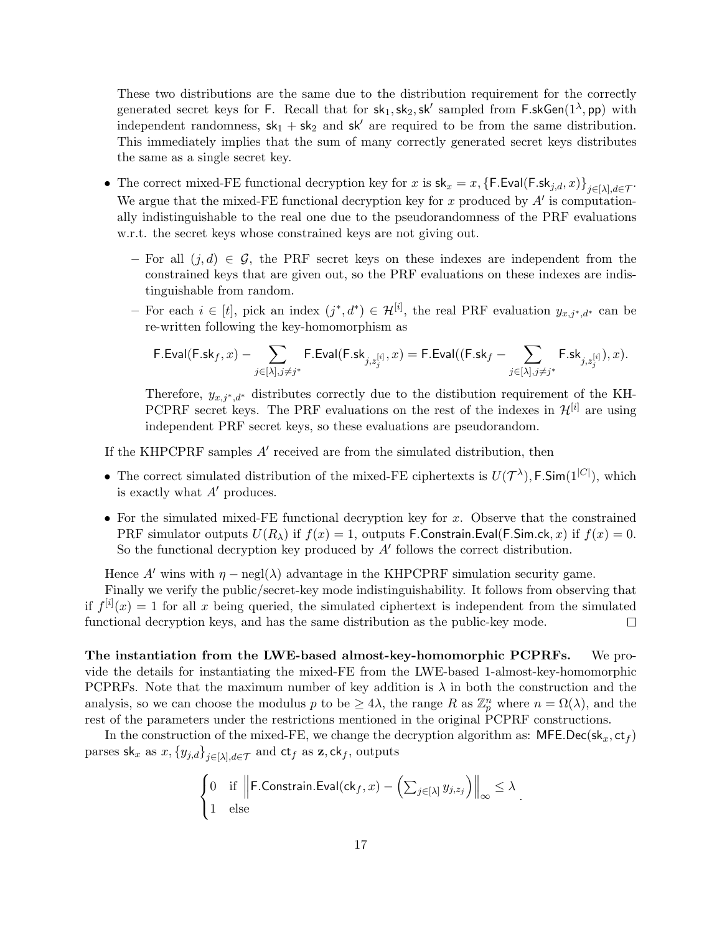These two distributions are the same due to the distribution requirement for the correctly generated secret keys for F. Recall that for  $sk_1, sk_2, sk'$  sampled from F.skGen( $1^{\lambda}$ , pp) with independent randomness,  $sk_1 + sk_2$  and  $sk'$  are required to be from the same distribution. This immediately implies that the sum of many correctly generated secret keys distributes the same as a single secret key.

- The correct mixed-FE functional decryption key for x is  $sk_x = x$ ,  $\{F.Eval(F, sk_{j,d}, x)\}_{j \in [\lambda], d \in \mathcal{T}}$ . We argue that the mixed-FE functional decryption key for x produced by  $A'$  is computationally indistinguishable to the real one due to the pseudorandomness of the PRF evaluations w.r.t. the secret keys whose constrained keys are not giving out.
	- For all  $(j, d) \in \mathcal{G}$ , the PRF secret keys on these indexes are independent from the constrained keys that are given out, so the PRF evaluations on these indexes are indistinguishable from random.
	- $−$  For each  $i \in [t]$ , pick an index  $(j^*, d^*) \in \mathcal{H}^{[i]}$ , the real PRF evaluation  $y_{x,j^*,d^*}$  can be re-written following the key-homomorphism as

$$
\text{F.Eval}(\text{F.sk}_f,x)-\sum_{j\in[\lambda],j\neq j^*}\text{F.Eval}(\text{F.sk}_{j,z_j^{[i]}},x)=\text{F.Eval}((\text{F.sk}_f-\sum_{j\in[\lambda],j\neq j^*}\text{F.sk}_{j,z_j^{[i]}}),x).
$$

Therefore,  $y_{x,j^*,d^*}$  distributes correctly due to the distibution requirement of the KH-PCPRF secret keys. The PRF evaluations on the rest of the indexes in  $\mathcal{H}^{[i]}$  are using independent PRF secret keys, so these evaluations are pseudorandom.

If the KHPCPRF samples  $A'$  received are from the simulated distribution, then

- The correct simulated distribution of the mixed-FE ciphertexts is  $U(\mathcal{T}^{\lambda}), \mathsf{F}.\mathsf{Sim}(1^{|C|}),$  which is exactly what  $A'$  produces.
- For the simulated mixed-FE functional decryption key for  $x$ . Observe that the constrained PRF simulator outputs  $U(R_{\lambda})$  if  $f(x) = 1$ , outputs F.Constrain.Eval(F.Sim.ck, x) if  $f(x) = 0$ . So the functional decryption key produced by  $A'$  follows the correct distribution.

Hence A' wins with  $\eta$  – negl( $\lambda$ ) advantage in the KHPCPRF simulation security game.

Finally we verify the public/secret-key mode indistinguishability. It follows from observing that if  $f^{[i]}(x) = 1$  for all x being queried, the simulated ciphertext is independent from the simulated functional decryption keys, and has the same distribution as the public-key mode.  $\Box$ 

The instantiation from the LWE-based almost-key-homomorphic PCPRFs. We provide the details for instantiating the mixed-FE from the LWE-based 1-almost-key-homomorphic PCPRFs. Note that the maximum number of key addition is  $\lambda$  in both the construction and the analysis, so we can choose the modulus p to be  $\geq 4\lambda$ , the range R as  $\mathbb{Z}_p^n$  where  $n = \Omega(\lambda)$ , and the rest of the parameters under the restrictions mentioned in the original PCPRF constructions.

In the construction of the mixed-FE, we change the decryption algorithm as:  $MFE Dec(s k_x, ct_f)$ parses sk<sub>x</sub> as  $x$ ,  $\{y_{j,d}\}_{j\in[\lambda],d\in\mathcal{T}}$  and  $ct_f$  as  $z$ ,  $ck_f$ , outputs

$$
\begin{cases} 0 & \text{if } \left\| \mathsf{F}.\mathsf{Constrain}.\mathsf{Eval}(\mathsf{ck}_f, x) - \left( \sum_{j \in [\lambda]} y_{j,z_j} \right) \right\|_{\infty} \leq \lambda \\ 1 & \text{else} \end{cases}.
$$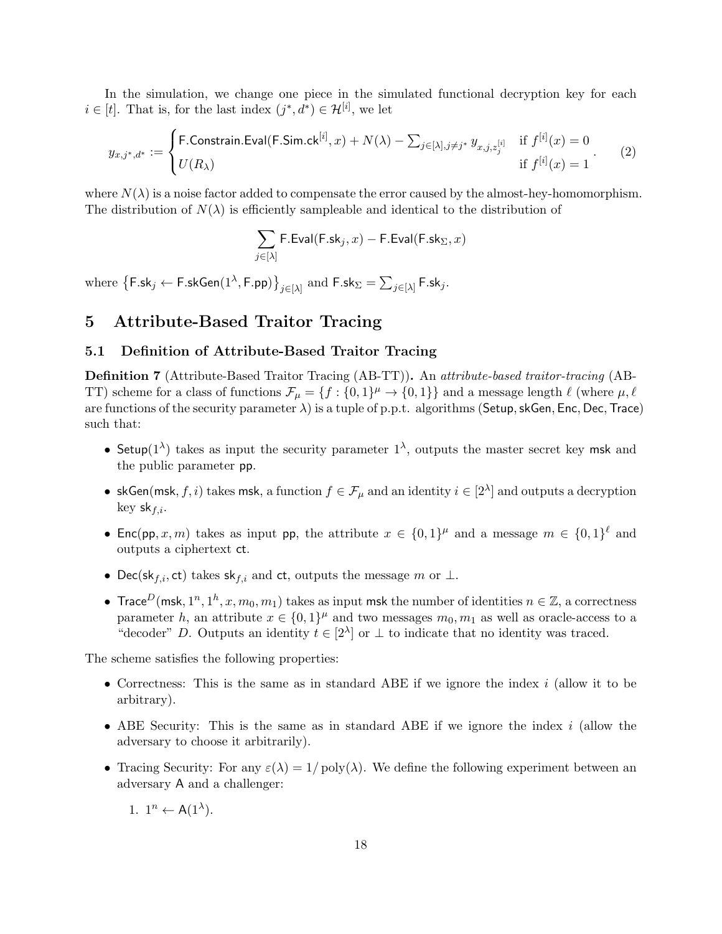In the simulation, we change one piece in the simulated functional decryption key for each  $i \in [t]$ . That is, for the last index  $(j^*, d^*) \in \mathcal{H}^{[i]}$ , we let

$$
y_{x,j^*,d^*} := \begin{cases} \text{F.} & \text{for } j \in [0,1], j \neq j^* \ y_{x,j,z_j^{[i]}} & \text{if } f^{[i]}(x) = 0 \\ U(R_\lambda) & \text{if } f^{[i]}(x) = 1 \end{cases} \tag{2}
$$

where  $N(\lambda)$  is a noise factor added to compensate the error caused by the almost-hey-homomorphism. The distribution of  $N(\lambda)$  is efficiently sampleable and identical to the distribution of

$$
\sum_{j \in [\lambda]} \mathsf{F}.\mathsf{Eval}(\mathsf{F}.\mathsf{sk}_j, x) - \mathsf{F}.\mathsf{Eval}(\mathsf{F}.\mathsf{sk}_\Sigma, x)
$$

where  $\big\{\mathsf{F}.\mathsf{sk}_j \leftarrow \mathsf{F}.\mathsf{skGen}(1^\lambda,\mathsf{F}.\mathsf{pp})\big\}_{j\in[\lambda]} \text{ and } \mathsf{F}.\mathsf{sk}_\Sigma = \sum_{j\in[\lambda]} \mathsf{F}.\mathsf{sk}_j.$ 

# <span id="page-19-0"></span>5 Attribute-Based Traitor Tracing

#### <span id="page-19-1"></span>5.1 Definition of Attribute-Based Traitor Tracing

Definition 7 (Attribute-Based Traitor Tracing (AB-TT)). An attribute-based traitor-tracing (AB-TT) scheme for a class of functions  $\mathcal{F}_{\mu} = \{f : \{0,1\}^{\mu} \to \{0,1\}\}\$ and a message length  $\ell$  (where  $\mu$ ,  $\ell$ ) are functions of the security parameter  $\lambda$ ) is a tuple of p.p.t. algorithms (Setup, skGen, Enc, Dec, Trace) such that:

- Setup( $1^{\lambda}$ ) takes as input the security parameter  $1^{\lambda}$ , outputs the master secret key msk and the public parameter pp.
- skGen(msk, f, i) takes msk, a function  $f \in \mathcal{F}_{\mu}$  and an identity  $i \in [2^{\lambda}]$  and outputs a decryption key sk $f_{i}$ .
- Enc(pp, x, m) takes as input pp, the attribute  $x \in \{0,1\}^{\mu}$  and a message  $m \in \{0,1\}^{\ell}$  and outputs a ciphertext ct.
- Dec(sk<sub>f,i</sub>, ct) takes sk<sub>f,i</sub> and ct, outputs the message m or  $\perp$ .
- Trace<sup>D</sup>(msk,  $1^n, 1^h, x, m_0, m_1$ ) takes as input msk the number of identities  $n \in \mathbb{Z}$ , a correctness parameter h, an attribute  $x \in \{0,1\}^{\mu}$  and two messages  $m_0, m_1$  as well as oracle-access to a "decoder" D. Outputs an identity  $t \in [2^{\lambda}]$  or  $\perp$  to indicate that no identity was traced.

The scheme satisfies the following properties:

- Correctness: This is the same as in standard ABE if we ignore the index  $i$  (allow it to be arbitrary).
- ABE Security: This is the same as in standard ABE if we ignore the index  $i$  (allow the adversary to choose it arbitrarily).
- Tracing Security: For any  $\varepsilon(\lambda) = 1/\text{poly}(\lambda)$ . We define the following experiment between an adversary A and a challenger:

1.  $1^n \leftarrow A(1^{\lambda})$ .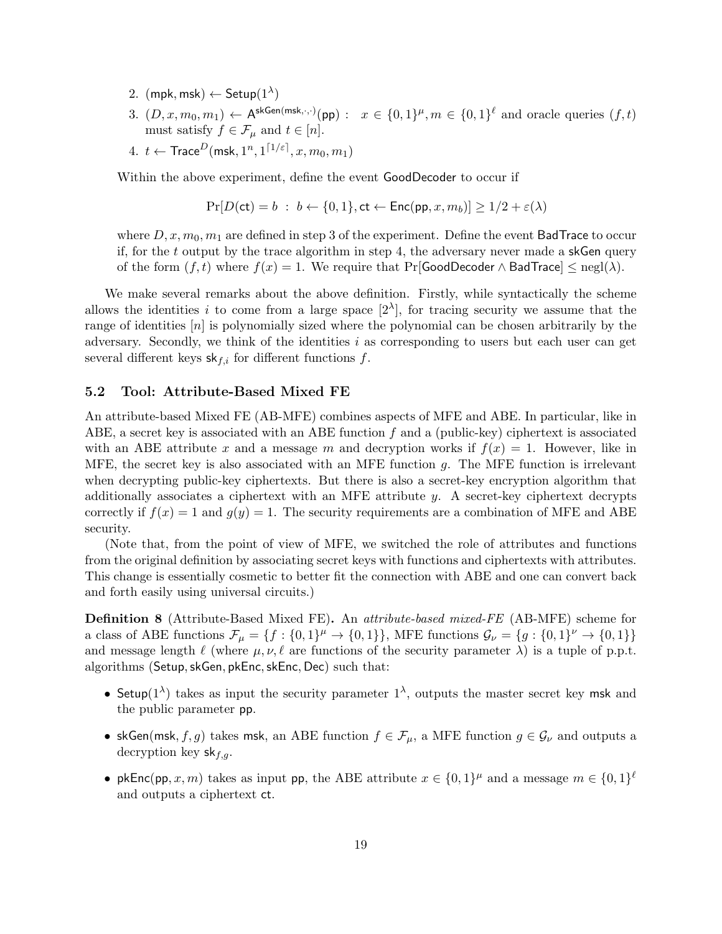- 2.  $(\mathsf{mpk}, \mathsf{msk}) \leftarrow \mathsf{Setup}(1^\lambda)$
- 3.  $(D, x, m_0, m_1) \leftarrow A^{\text{skGen(msk, ·, ·)}}(\textsf{pp}) : x \in \{0, 1\}^{\mu}, m \in \{0, 1\}^{\ell}$  and oracle queries  $(f, t)$ must satisfy  $f \in \mathcal{F}_u$  and  $t \in [n]$ .
- $4. \, \ t \leftarrow \textsf{Trace}^D(\textsf{msk},1^n,1^{\lceil 1/\varepsilon \rceil},x,m_0,m_1)$

Within the above experiment, define the event GoodDecoder to occur if

$$
\Pr[D(\textsf{ct}) = b : b \leftarrow \{0, 1\}, \textsf{ct} \leftarrow \mathsf{Enc}(\textsf{pp}, x, m_b)] \ge 1/2 + \varepsilon(\lambda)
$$

where  $D, x, m_0, m_1$  are defined in step 3 of the experiment. Define the event BadTrace to occur if, for the  $t$  output by the trace algorithm in step 4, the adversary never made a skGen query of the form  $(f, t)$  where  $f(x) = 1$ . We require that Pr[GoodDecoder  $\wedge$  BadTrace]  $\leq$  negl( $\lambda$ ).

We make several remarks about the above definition. Firstly, while syntactically the scheme allows the identities i to come from a large space  $[2^{\lambda}]$ , for tracing security we assume that the range of identities  $[n]$  is polynomially sized where the polynomial can be chosen arbitrarily by the adversary. Secondly, we think of the identities  $i$  as corresponding to users but each user can get several different keys  $sk_{f,i}$  for different functions f.

## <span id="page-20-0"></span>5.2 Tool: Attribute-Based Mixed FE

An attribute-based Mixed FE (AB-MFE) combines aspects of MFE and ABE. In particular, like in ABE, a secret key is associated with an ABE function  $f$  and a (public-key) ciphertext is associated with an ABE attribute x and a message m and decryption works if  $f(x) = 1$ . However, like in MFE, the secret key is also associated with an MFE function  $g$ . The MFE function is irrelevant when decrypting public-key ciphertexts. But there is also a secret-key encryption algorithm that additionally associates a ciphertext with an MFE attribute  $y$ . A secret-key ciphertext decrypts correctly if  $f(x) = 1$  and  $g(y) = 1$ . The security requirements are a combination of MFE and ABE security.

(Note that, from the point of view of MFE, we switched the role of attributes and functions from the original definition by associating secret keys with functions and ciphertexts with attributes. This change is essentially cosmetic to better fit the connection with ABE and one can convert back and forth easily using universal circuits.)

Definition 8 (Attribute-Based Mixed FE). An attribute-based mixed-FE (AB-MFE) scheme for a class of ABE functions  $\mathcal{F}_{\mu} = \{f : \{0,1\}^{\mu} \to \{0,1\}\}\$ , MFE functions  $\mathcal{G}_{\nu} = \{g : \{0,1\}^{\nu} \to \{0,1\}\}\$ and message length  $\ell$  (where  $\mu, \nu, \ell$  are functions of the security parameter  $\lambda$ ) is a tuple of p.p.t. algorithms (Setup, skGen, pkEnc, skEnc, Dec) such that:

- Setup( $1^{\lambda}$ ) takes as input the security parameter  $1^{\lambda}$ , outputs the master secret key msk and the public parameter pp.
- skGen(msk, f, g) takes msk, an ABE function  $f \in \mathcal{F}_{\mu}$ , a MFE function  $g \in \mathcal{G}_{\nu}$  and outputs a decryption key  $\mathsf{sk}_{f,q}$ .
- pkEnc(pp, x, m) takes as input pp, the ABE attribute  $x \in \{0,1\}^{\mu}$  and a message  $m \in \{0,1\}^{\ell}$ and outputs a ciphertext ct.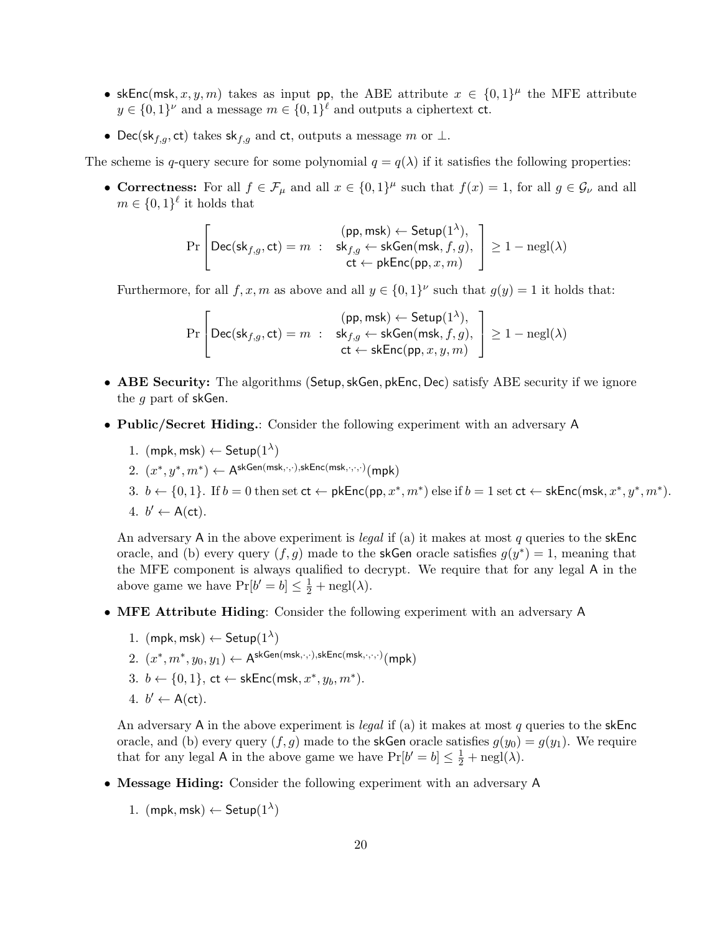- skEnc(msk, x, y, m) takes as input pp, the ABE attribute  $x \in \{0,1\}^{\mu}$  the MFE attribute  $y \in \{0,1\}^{\nu}$  and a message  $m \in \{0,1\}^{\ell}$  and outputs a ciphertext ct.
- Dec(sk<sub>f,g</sub>, ct) takes sk<sub>f,g</sub> and ct, outputs a message m or  $\perp$ .

The scheme is q-query secure for some polynomial  $q = q(\lambda)$  if it satisfies the following properties:

• Correctness: For all  $f \in \mathcal{F}_{\mu}$  and all  $x \in \{0,1\}^{\mu}$  such that  $f(x) = 1$ , for all  $g \in \mathcal{G}_{\nu}$  and all  $m \in \{0,1\}^{\ell}$  it holds that

$$
\Pr\left[\mathsf{Dec}(\mathsf{sk}_{f,g},\mathsf{ct}) = m \; : \; \begin{array}{l} (\mathsf{pp},\mathsf{msk}) \leftarrow \mathsf{Setup}(1^\lambda), \\ \mathsf{sk}_{f,g} \leftarrow \mathsf{skGen}(\mathsf{msk},f,g), \\ \mathsf{ct} \leftarrow \mathsf{pkEnc}(\mathsf{pp},x,m) \end{array}\right] \ge 1 - \mathsf{negl}(\lambda)
$$

Furthermore, for all  $f, x, m$  as above and all  $y \in \{0, 1\}^{\nu}$  such that  $g(y) = 1$  it holds that:

$$
\Pr\left[\mathsf{Dec}(\mathsf{sk}_{f,g},\mathsf{ct}) = m \; : \; \begin{array}{l} (\mathsf{pp},\mathsf{msk}) \leftarrow \mathsf{Setup}(1^\lambda), \\ \mathsf{sk}_{f,g} \leftarrow \mathsf{skGen}(\mathsf{msk},f,g), \\ \mathsf{ct} \leftarrow \mathsf{skEnc}(\mathsf{pp},x,y,m) \end{array}\right] \geq 1 - \mathsf{negl}(\lambda)
$$

- ABE Security: The algorithms (Setup, skGen, pkEnc, Dec) satisfy ABE security if we ignore the q part of skGen.
- Public/Secret Hiding.: Consider the following experiment with an adversary A
	- 1.  $(mpk, msk) \leftarrow Setup(1^{\lambda})$
	- 2.  $(x^*, y^*, m^*) \leftarrow A^{skGen(msk, \cdot, \cdot), skEnc(msk, \cdot, \cdot, \cdot)}(mpk)$
	- 3.  $b \leftarrow \{0, 1\}$ . If  $b = 0$  then set  $ct \leftarrow \text{pkEnc}(\text{pp}, x^*, m^*)$  else if  $b = 1$  set  $ct \leftarrow \text{skEnc}(\text{msk}, x^*, y^*, m^*)$ .
	- 4.  $b' \leftarrow A(ct)$ .

An adversary A in the above experiment is *legal* if (a) it makes at most q queries to the skEnc oracle, and (b) every query  $(f, g)$  made to the skGen oracle satisfies  $g(y^*) = 1$ , meaning that the MFE component is always qualified to decrypt. We require that for any legal A in the above game we have  $Pr[b' = b] \leq \frac{1}{2} + negl(\lambda)$ .

- MFE Attribute Hiding: Consider the following experiment with an adversary A
	- 1.  $(mpk, msk) \leftarrow Setup(1^{\lambda})$
	- $2. (x^*, m^*, y_0, y_1) \leftarrow \mathsf{A}^{\mathsf{skGen}({\sf msk}, \cdot, \cdot), \mathsf{skEnc}({\sf msk}, \cdot, \cdot, \cdot)}({\sf mpk})$
	- 3.  $b \leftarrow \{0, 1\}$ , ct  $\leftarrow$  skEnc(msk,  $x^*, y_b, m^*$ ).
	- 4.  $b' \leftarrow A(ct)$ .

An adversary A in the above experiment is *legal* if (a) it makes at most q queries to the skEnc oracle, and (b) every query  $(f, g)$  made to the skGen oracle satisfies  $g(y_0) = g(y_1)$ . We require that for any legal A in the above game we have  $Pr[b' = b] \leq \frac{1}{2} + negl(\lambda)$ .

- Message Hiding: Consider the following experiment with an adversary A
	- 1.  $(mpk, msk) \leftarrow Setup(1^{\lambda})$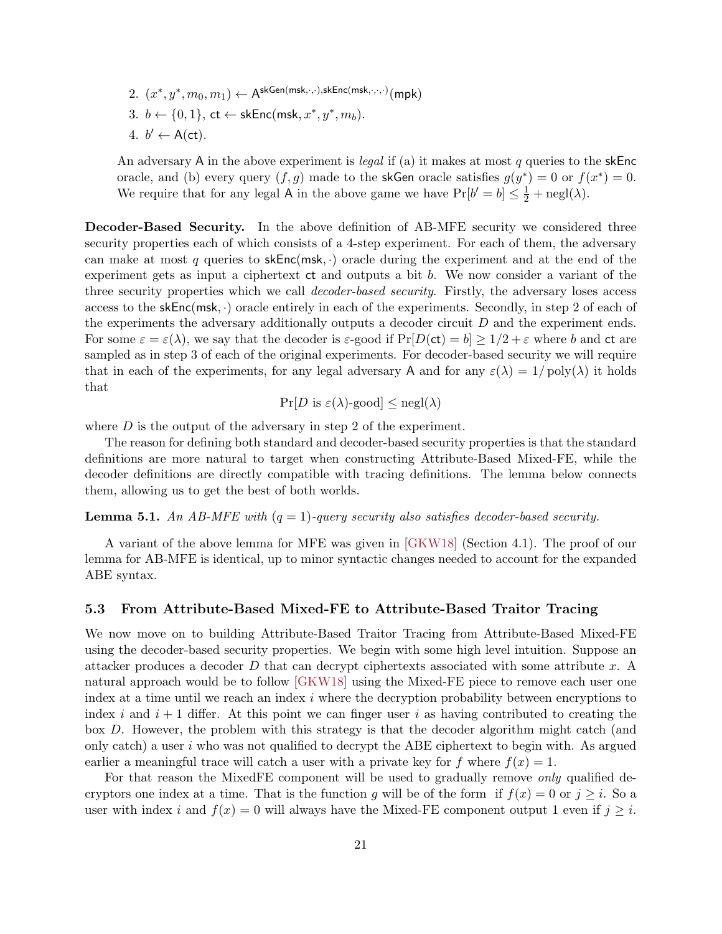$2. \ \ (x^{\ast}, y^{\ast}, m_0, m_1) \leftarrow \mathsf{A}^{\mathsf{skGen}({\sf msk}, \cdot, \cdot), \mathsf{skEnc}({\sf msk}, \cdot, \cdot, \cdot)}({\sf mpk})$ 3.  $b \leftarrow \{0, 1\}$ , ct  $\leftarrow$  skEnc(msk,  $x^*, y^*, m_b$ ). 4.  $b' \leftarrow A(ct)$ .

An adversary A in the above experiment is *legal* if (a) it makes at most q queries to the skEnc oracle, and (b) every query  $(f, g)$  made to the skGen oracle satisfies  $g(y^*) = 0$  or  $f(x^*) = 0$ . We require that for any legal A in the above game we have  $Pr[b' = b] \leq \frac{1}{2} + negl(\lambda)$ .

Decoder-Based Security. In the above definition of AB-MFE security we considered three security properties each of which consists of a 4-step experiment. For each of them, the adversary can make at most q queries to skEnc(msk,  $\cdot$ ) oracle during the experiment and at the end of the experiment gets as input a ciphertext ct and outputs a bit b. We now consider a variant of the three security properties which we call *decoder-based security*. Firstly, the adversary loses access access to the skEnc(msk,  $\cdot$ ) oracle entirely in each of the experiments. Secondly, in step 2 of each of the experiments the adversary additionally outputs a decoder circuit D and the experiment ends. For some  $\varepsilon = \varepsilon(\lambda)$ , we say that the decoder is  $\varepsilon$ -good if  $Pr[D(\text{ct}) = b] \ge 1/2 + \varepsilon$  where b and ct are sampled as in step 3 of each of the original experiments. For decoder-based security we will require that in each of the experiments, for any legal adversary A and for any  $\varepsilon(\lambda) = 1/\text{poly}(\lambda)$  it holds that

$$
\Pr[D \text{ is } \varepsilon(\lambda) \text{-good}] \le \text{negl}(\lambda)
$$

where  $D$  is the output of the adversary in step 2 of the experiment.

The reason for defining both standard and decoder-based security properties is that the standard definitions are more natural to target when constructing Attribute-Based Mixed-FE, while the decoder definitions are directly compatible with tracing definitions. The lemma below connects them, allowing us to get the best of both worlds.

**Lemma 5.1.** An AB-MFE with  $(q = 1)$ -query security also satisfies decoder-based security.

A variant of the above lemma for MFE was given in [\[GKW18\]](#page-27-0) (Section 4.1). The proof of our lemma for AB-MFE is identical, up to minor syntactic changes needed to account for the expanded ABE syntax.

## <span id="page-22-0"></span>5.3 From Attribute-Based Mixed-FE to Attribute-Based Traitor Tracing

We now move on to building Attribute-Based Traitor Tracing from Attribute-Based Mixed-FE using the decoder-based security properties. We begin with some high level intuition. Suppose an attacker produces a decoder  $D$  that can decrypt ciphertexts associated with some attribute  $x$ . A natural approach would be to follow [\[GKW18\]](#page-27-0) using the Mixed-FE piece to remove each user one index at a time until we reach an index  $i$  where the decryption probability between encryptions to index i and  $i + 1$  differ. At this point we can finger user i as having contributed to creating the box D. However, the problem with this strategy is that the decoder algorithm might catch (and only catch) a user  $i$  who was not qualified to decrypt the ABE ciphertext to begin with. As argued earlier a meaningful trace will catch a user with a private key for f where  $f(x) = 1$ .

For that reason the MixedFE component will be used to gradually remove *only* qualified decryptors one index at a time. That is the function g will be of the form if  $f(x) = 0$  or  $j \geq i$ . So a user with index i and  $f(x) = 0$  will always have the Mixed-FE component output 1 even if  $j \geq i$ .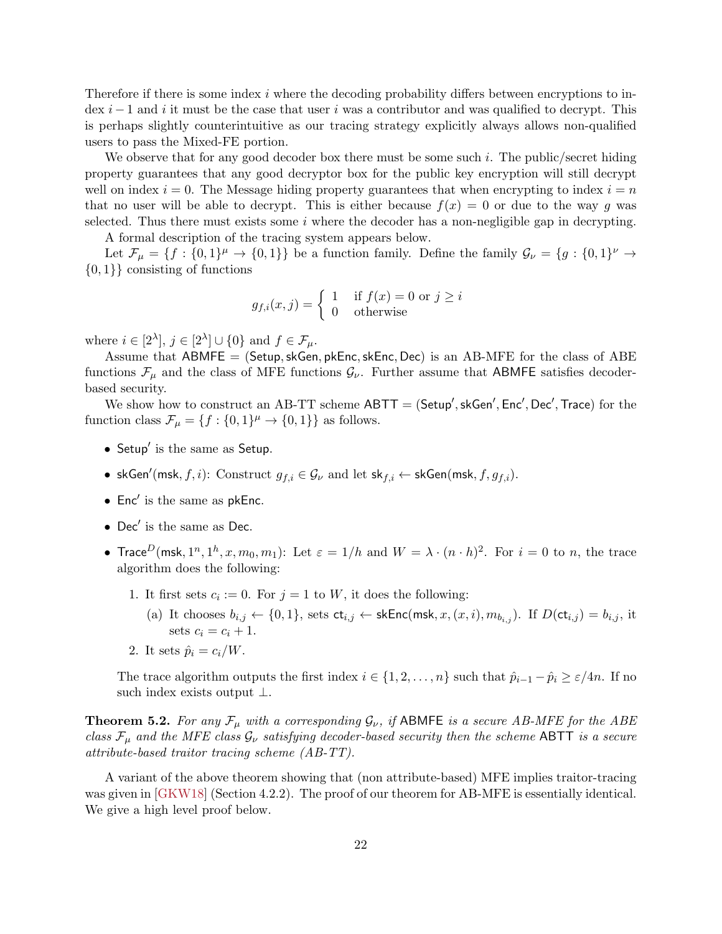Therefore if there is some index i where the decoding probability differs between encryptions to index  $i-1$  and i it must be the case that user i was a contributor and was qualified to decrypt. This is perhaps slightly counterintuitive as our tracing strategy explicitly always allows non-qualified users to pass the Mixed-FE portion.

We observe that for any good decoder box there must be some such i. The public/secret hiding property guarantees that any good decryptor box for the public key encryption will still decrypt well on index  $i = 0$ . The Message hiding property guarantees that when encrypting to index  $i = n$ that no user will be able to decrypt. This is either because  $f(x) = 0$  or due to the way g was selected. Thus there must exists some  $i$  where the decoder has a non-negligible gap in decrypting.

A formal description of the tracing system appears below.

Let  $\mathcal{F}_{\mu} = \{f : \{0,1\}^{\mu} \to \{0,1\}\}\$ be a function family. Define the family  $\mathcal{G}_{\nu} = \{g : \{0,1\}^{\nu} \to \emptyset\}$  $\{0,1\}$  consisting of functions

$$
g_{f,i}(x,j) = \begin{cases} 1 & \text{if } f(x) = 0 \text{ or } j \ge i \\ 0 & \text{otherwise} \end{cases}
$$

where  $i \in [2^{\lambda}], j \in [2^{\lambda}] \cup \{0\}$  and  $f \in \mathcal{F}_{\mu}$ .

Assume that  $ABMFE = (Setup, skGen, pkEnc, skEnc, Dec)$  is an  $AB-MFE$  for the class of  $ABE$ functions  $\mathcal{F}_{\mu}$  and the class of MFE functions  $\mathcal{G}_{\nu}$ . Further assume that ABMFE satisfies decoderbased security.

We show how to construct an AB-TT scheme  $ABTT = (Setup', skGen', Enc', Dec', Trace)$  for the function class  $\mathcal{F}_{\mu} = \{f : \{0,1\}^{\mu} \to \{0,1\}\}\$ as follows.

- $\bullet$  Setup' is the same as Setup.
- skGen'(msk, f, i): Construct  $g_{f,i} \in \mathcal{G}_{\nu}$  and let sk $_{f,i} \leftarrow$  skGen(msk,  $f, g_{f,i}$ ).
- $\bullet$  Enc' is the same as pkEnc.
- $\bullet$  Dec' is the same as Dec.
- Trace<sup>D</sup>(msk,  $1^n, 1^h, x, m_0, m_1$ ): Let  $\varepsilon = 1/h$  and  $W = \lambda \cdot (n \cdot h)^2$ . For  $i = 0$  to n, the trace algorithm does the following:
	- 1. It first sets  $c_i := 0$ . For  $j = 1$  to W, it does the following:
		- (a) It chooses  $b_{i,j} \leftarrow \{0,1\}$ , sets  $ct_{i,j} \leftarrow \textsf{skEnc}(\textsf{msk}, x, (x, i), m_{b_{i,j}})$ . If  $D(ct_{i,j}) = b_{i,j}$ , it sets  $c_i = c_i + 1$ .
	- 2. It sets  $\hat{p}_i = c_i/W$ .

The trace algorithm outputs the first index  $i \in \{1, 2, \ldots, n\}$  such that  $\hat{p}_{i-1} - \hat{p}_i \geq \varepsilon/4n$ . If no such index exists output ⊥.

**Theorem 5.2.** For any  $\mathcal{F}_{\mu}$  with a corresponding  $\mathcal{G}_{\nu}$ , if ABMFE is a secure AB-MFE for the ABE class  $\mathcal{F}_{\mu}$  and the MFE class  $\mathcal{G}_{\nu}$  satisfying decoder-based security then the scheme ABTT is a secure attribute-based traitor tracing scheme (AB-TT).

A variant of the above theorem showing that (non attribute-based) MFE implies traitor-tracing was given in [\[GKW18\]](#page-27-0) (Section 4.2.2). The proof of our theorem for AB-MFE is essentially identical. We give a high level proof below.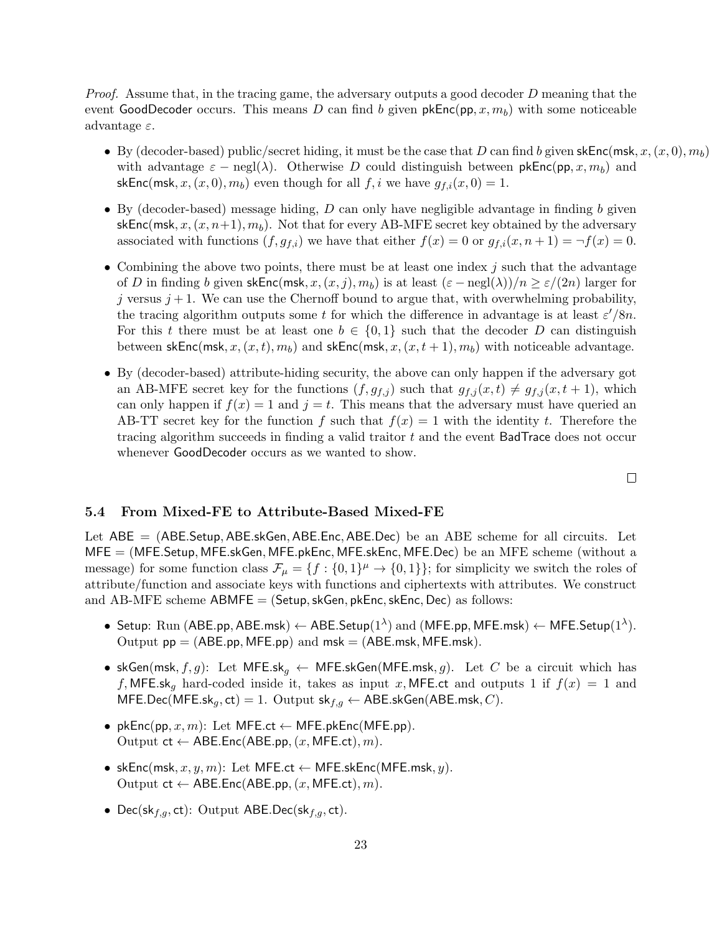Proof. Assume that, in the tracing game, the adversary outputs a good decoder D meaning that the event GoodDecoder occurs. This means D can find b given  $pkEnc(pp, x, m_b)$  with some noticeable advantage  $\varepsilon$ .

- By (decoder-based) public/secret hiding, it must be the case that D can find b given skEnc(msk, x,  $(x, 0), m_b$ ) with advantage  $\varepsilon$  – negl( $\lambda$ ). Otherwise D could distinguish between pkEnc(pp, x, m<sub>b</sub>) and skEnc(msk, x,  $(x, 0), m_b$ ) even though for all f, i we have  $g_{f,i}(x, 0) = 1$ .
- By (decoder-based) message hiding,  $D$  can only have negligible advantage in finding  $b$  given skEnc(msk, x,  $(x, n+1)$ ,  $m_b$ ). Not that for every AB-MFE secret key obtained by the adversary associated with functions  $(f, g_{f,i})$  we have that either  $f(x) = 0$  or  $g_{f,i}(x, n+1) = -f(x) = 0$ .
- Combining the above two points, there must be at least one index  $j$  such that the advantage of D in finding b given skEnc(msk,  $x,(x, j), m_b$ ) is at least  $(\varepsilon - \text{negl}(\lambda))/n \geq \varepsilon/(2n)$  larger for j versus  $j+1$ . We can use the Chernoff bound to argue that, with overwhelming probability, the tracing algorithm outputs some t for which the difference in advantage is at least  $\varepsilon'/8n$ . For this t there must be at least one  $b \in \{0,1\}$  such that the decoder D can distinguish between skEnc(msk, x,  $(x, t)$ ,  $m_b$ ) and skEnc(msk, x,  $(x, t + 1)$ ,  $m_b$ ) with noticeable advantage.
- By (decoder-based) attribute-hiding security, the above can only happen if the adversary got an AB-MFE secret key for the functions  $(f, g_{f,j})$  such that  $g_{f,j}(x, t) \neq g_{f,j}(x, t + 1)$ , which can only happen if  $f(x) = 1$  and  $j = t$ . This means that the adversary must have queried an AB-TT secret key for the function f such that  $f(x) = 1$  with the identity t. Therefore the tracing algorithm succeeds in finding a valid traitor  $t$  and the event BadTrace does not occur whenever GoodDecoder occurs as we wanted to show.

 $\Box$ 

# <span id="page-24-0"></span>5.4 From Mixed-FE to Attribute-Based Mixed-FE

Let  $ABE = (ABE. Setup, ABE. skeen, ABE.Enc, ABE.Dec)$  be an  $ABE$  scheme for all circuits. Let  $MFE = (MFE. Setup, MFE. skGen, MFE. pkEnc, MFE. skEnc, MFE. Dec)$  be an  $MFE$  scheme (without a message) for some function class  $\mathcal{F}_{\mu} = \{f : \{0,1\}^{\mu} \to \{0,1\}\};$  for simplicity we switch the roles of attribute/function and associate keys with functions and ciphertexts with attributes. We construct and AB-MFE scheme  $ABMFE = (Setup, skGen, pkEnc, skEnc, Dec)$  as follows:

- Setup: Run (ABE.pp, ABE.msk)  $\leftarrow$  ABE.Setup(1<sup> $\lambda$ </sup>) and (MFE.pp, MFE.msk)  $\leftarrow$  MFE.Setup(1<sup> $\lambda$ </sup>). Output  $pp = (ABE(pp, MFE, pp)$  and  $msk = (ABEmsk, MFE, msk)$ .
- skGen(msk, f, g): Let MFE.sk<sub>g</sub>  $\leftarrow$  MFE.skGen(MFE.msk, g). Let C be a circuit which has f, MFE.sk<sub>g</sub> hard-coded inside it, takes as input x, MFE.ct and outputs 1 if  $f(x) = 1$  and MFE.Dec(MFE.sk<sub>g</sub>, ct) = 1. Output sk<sub>f,g</sub>  $\leftarrow$  ABE.skGen(ABE.msk, C).
- pkEnc(pp, x, m): Let MFE.ct  $\leftarrow$  MFE.pkEnc(MFE.pp). Output  $ct \leftarrow$  ABE.Enc(ABE.pp,  $(x, \text{MFE}.\text{ct}), m$ ).
- skEnc(msk,  $x, y, m$ ): Let MFE.ct  $\leftarrow$  MFE.skEnc(MFE.msk, y). Output  $ct \leftarrow$  ABE.Enc(ABE.pp,  $(x, \text{MFE}.\text{ct}), m$ ).
- Dec(sk $_{f,g}$ , ct): Output ABE.Dec(sk $_{f,g}$ , ct).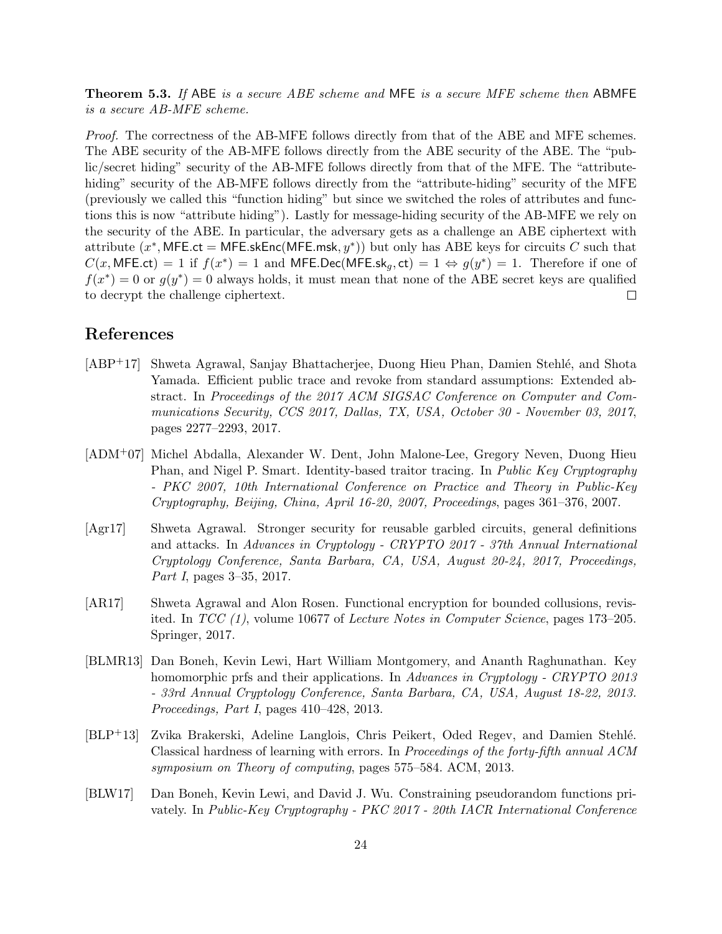**Theorem 5.3.** If ABE is a secure ABE scheme and MFE is a secure MFE scheme then ABMFE is a secure AB-MFE scheme.

Proof. The correctness of the AB-MFE follows directly from that of the ABE and MFE schemes. The ABE security of the AB-MFE follows directly from the ABE security of the ABE. The "public/secret hiding" security of the AB-MFE follows directly from that of the MFE. The "attributehiding" security of the AB-MFE follows directly from the "attribute-hiding" security of the MFE (previously we called this "function hiding" but since we switched the roles of attributes and functions this is now "attribute hiding"). Lastly for message-hiding security of the AB-MFE we rely on the security of the ABE. In particular, the adversary gets as a challenge an ABE ciphertext with attribute  $(x^*$ , MFE.ct = MFE.skEnc(MFE.msk,  $y^*$ )) but only has ABE keys for circuits C such that  $C(x, \text{MFE.ct}) = 1$  if  $f(x^*) = 1$  and MFE.Dec(MFE.sk<sub>g</sub>, ct) = 1  $\Leftrightarrow g(y^*) = 1$ . Therefore if one of  $f(x^*) = 0$  or  $g(y^*) = 0$  always holds, it must mean that none of the ABE secret keys are qualified to decrypt the challenge ciphertext.  $\Box$ 

# References

- <span id="page-25-4"></span>[ABP<sup>+</sup>17] Shweta Agrawal, Sanjay Bhattacherjee, Duong Hieu Phan, Damien Stehlé, and Shota Yamada. Efficient public trace and revoke from standard assumptions: Extended abstract. In Proceedings of the 2017 ACM SIGSAC Conference on Computer and Communications Security, CCS 2017, Dallas, TX, USA, October 30 - November 03, 2017, pages 2277–2293, 2017.
- <span id="page-25-3"></span>[ADM+07] Michel Abdalla, Alexander W. Dent, John Malone-Lee, Gregory Neven, Duong Hieu Phan, and Nigel P. Smart. Identity-based traitor tracing. In Public Key Cryptography - PKC 2007, 10th International Conference on Practice and Theory in Public-Key Cryptography, Beijing, China, April 16-20, 2007, Proceedings, pages 361–376, 2007.
- <span id="page-25-1"></span>[Agr17] Shweta Agrawal. Stronger security for reusable garbled circuits, general definitions and attacks. In Advances in Cryptology - CRYPTO 2017 - 37th Annual International Cryptology Conference, Santa Barbara, CA, USA, August 20-24, 2017, Proceedings, Part I, pages 3–35, 2017.
- <span id="page-25-0"></span>[AR17] Shweta Agrawal and Alon Rosen. Functional encryption for bounded collusions, revisited. In TCC (1), volume 10677 of Lecture Notes in Computer Science, pages 173–205. Springer, 2017.
- <span id="page-25-2"></span>[BLMR13] Dan Boneh, Kevin Lewi, Hart William Montgomery, and Ananth Raghunathan. Key homomorphic prfs and their applications. In Advances in Cryptology - CRYPTO 2013 - 33rd Annual Cryptology Conference, Santa Barbara, CA, USA, August 18-22, 2013. Proceedings, Part I, pages 410–428, 2013.
- <span id="page-25-5"></span>[BLP+13] Zvika Brakerski, Adeline Langlois, Chris Peikert, Oded Regev, and Damien Stehl´e. Classical hardness of learning with errors. In Proceedings of the forty-fifth annual ACM symposium on Theory of computing, pages 575–584. ACM, 2013.
- <span id="page-25-6"></span>[BLW17] Dan Boneh, Kevin Lewi, and David J. Wu. Constraining pseudorandom functions privately. In Public-Key Cryptography - PKC 2017 - 20th IACR International Conference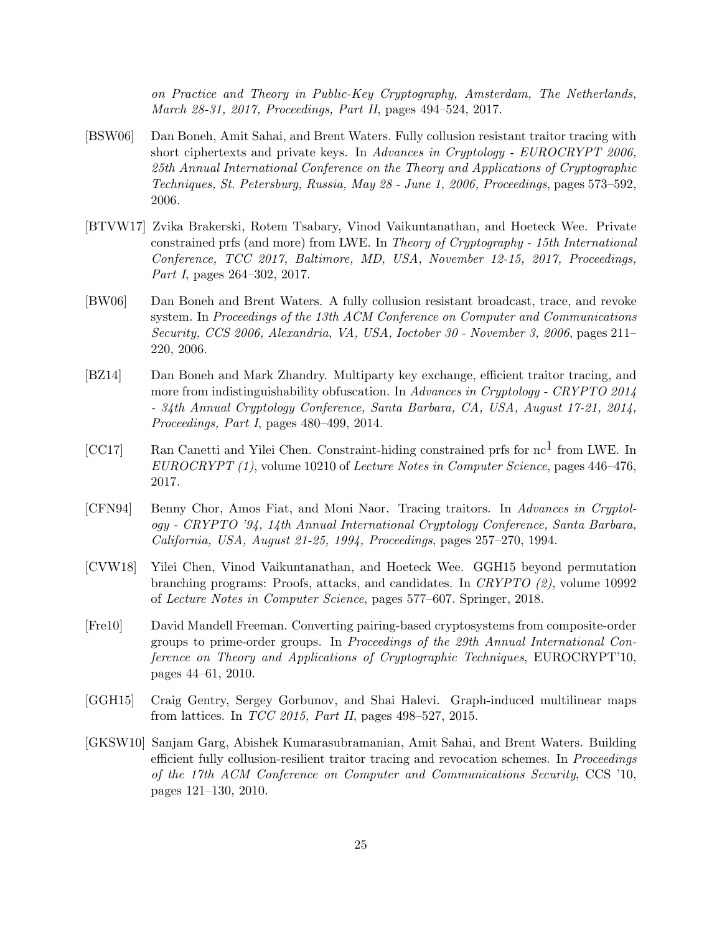on Practice and Theory in Public-Key Cryptography, Amsterdam, The Netherlands, March 28-31, 2017, Proceedings, Part II, pages 494–524, 2017.

- <span id="page-26-4"></span>[BSW06] Dan Boneh, Amit Sahai, and Brent Waters. Fully collusion resistant traitor tracing with short ciphertexts and private keys. In Advances in Cryptology - EUROCRYPT 2006, 25th Annual International Conference on the Theory and Applications of Cryptographic Techniques, St. Petersburg, Russia, May 28 - June 1, 2006, Proceedings, pages 573–592, 2006.
- <span id="page-26-2"></span>[BTVW17] Zvika Brakerski, Rotem Tsabary, Vinod Vaikuntanathan, and Hoeteck Wee. Private constrained prfs (and more) from LWE. In Theory of Cryptography - 15th International Conference, TCC 2017, Baltimore, MD, USA, November 12-15, 2017, Proceedings, Part I, pages 264–302, 2017.
- <span id="page-26-5"></span>[BW06] Dan Boneh and Brent Waters. A fully collusion resistant broadcast, trace, and revoke system. In Proceedings of the 13th ACM Conference on Computer and Communications Security, CCS 2006, Alexandria, VA, USA, Ioctober 30 - November 3, 2006, pages 211– 220, 2006.
- <span id="page-26-8"></span>[BZ14] Dan Boneh and Mark Zhandry. Multiparty key exchange, efficient traitor tracing, and more from indistinguishability obfuscation. In Advances in Cryptology - CRYPTO 2014 - 34th Annual Cryptology Conference, Santa Barbara, CA, USA, August 17-21, 2014, Proceedings, Part I, pages 480–499, 2014.
- <span id="page-26-1"></span> $[CC17]$  Ran Canetti and Yilei Chen. Constraint-hiding constrained prfs for nc<sup>1</sup> from LWE. In EUROCRYPT (1), volume 10210 of Lecture Notes in Computer Science, pages 446–476, 2017.
- <span id="page-26-0"></span>[CFN94] Benny Chor, Amos Fiat, and Moni Naor. Tracing traitors. In Advances in Cryptology - CRYPTO '94, 14th Annual International Cryptology Conference, Santa Barbara, California, USA, August 21-25, 1994, Proceedings, pages 257–270, 1994.
- <span id="page-26-3"></span>[CVW18] Yilei Chen, Vinod Vaikuntanathan, and Hoeteck Wee. GGH15 beyond permutation branching programs: Proofs, attacks, and candidates. In CRYPTO (2), volume 10992 of Lecture Notes in Computer Science, pages 577–607. Springer, 2018.
- <span id="page-26-7"></span>[Fre10] David Mandell Freeman. Converting pairing-based cryptosystems from composite-order groups to prime-order groups. In Proceedings of the 29th Annual International Conference on Theory and Applications of Cryptographic Techniques, EUROCRYPT'10, pages 44–61, 2010.
- <span id="page-26-9"></span>[GGH15] Craig Gentry, Sergey Gorbunov, and Shai Halevi. Graph-induced multilinear maps from lattices. In  $TCC$  2015, Part II, pages 498–527, 2015.
- <span id="page-26-6"></span>[GKSW10] Sanjam Garg, Abishek Kumarasubramanian, Amit Sahai, and Brent Waters. Building efficient fully collusion-resilient traitor tracing and revocation schemes. In *Proceedings* of the 17th ACM Conference on Computer and Communications Security, CCS '10, pages 121–130, 2010.